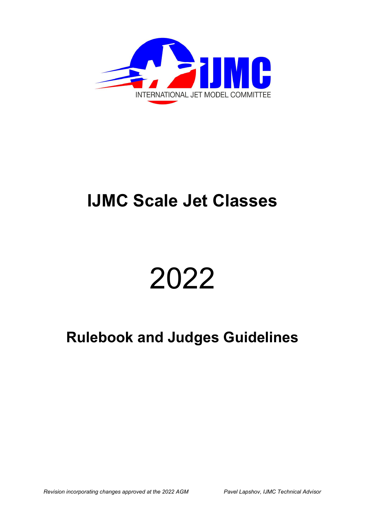

# **IJMC Scale Jet Classes**

# 2022

# **Rulebook and Judges Guidelines**

*Revision incorporating changes approved at the 2022 AGM Pavel Lapshov, IJMC Technical Advisor*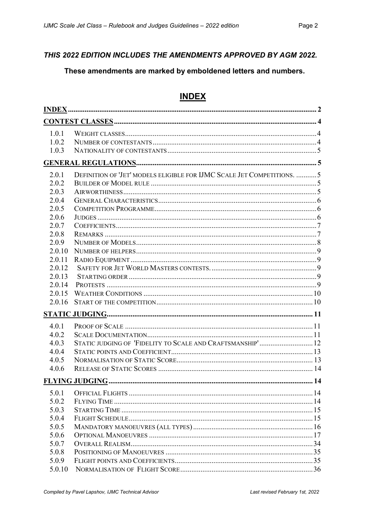### THIS 2022 EDITION INCLUDES THE AMENDMENTS APPROVED BY AGM 2022.

## These amendments are marked by emboldened letters and numbers.

# **INDEX**

| 1.0.1  |                                                                        |    |
|--------|------------------------------------------------------------------------|----|
| 1.0.2  |                                                                        |    |
| 1.0.3  |                                                                        |    |
|        |                                                                        |    |
| 2.0.1  | DEFINITION OF 'JET' MODELS ELIGIBLE FOR IJMC SCALE JET COMPETITIONS. 5 |    |
| 2.0.2  |                                                                        |    |
| 2.0.3  |                                                                        |    |
| 2.0.4  |                                                                        |    |
| 2.0.5  |                                                                        |    |
| 2.0.6  |                                                                        |    |
| 2.0.7  |                                                                        |    |
| 2.0.8  |                                                                        |    |
| 2.0.9  |                                                                        |    |
| 2.0.10 |                                                                        |    |
| 2.0.11 |                                                                        |    |
| 2.0.12 |                                                                        |    |
| 2.0.13 |                                                                        |    |
| 2.0.14 |                                                                        |    |
| 2.0.15 |                                                                        |    |
| 2.0.16 |                                                                        |    |
|        |                                                                        |    |
| 4.0.1  |                                                                        |    |
| 4.0.2  |                                                                        |    |
| 4.0.3  | STATIC JUDGING OF 'FIDELITY TO SCALE AND CRAFTSMANSHIP' 12             |    |
| 4.0.4  |                                                                        |    |
| 4.0.5  |                                                                        |    |
| 4.0.6  |                                                                        |    |
|        |                                                                        | 14 |
| 5.0.1  |                                                                        |    |
| 5.0.2  |                                                                        |    |
| 5.0.3  |                                                                        |    |
| 5.0.4  |                                                                        |    |
| 5.0.5  |                                                                        |    |
| 5.0.6  |                                                                        |    |
| 5.0.7  |                                                                        |    |
| 5.0.8  |                                                                        |    |
| 5.0.9  |                                                                        |    |
| 5.0.10 |                                                                        |    |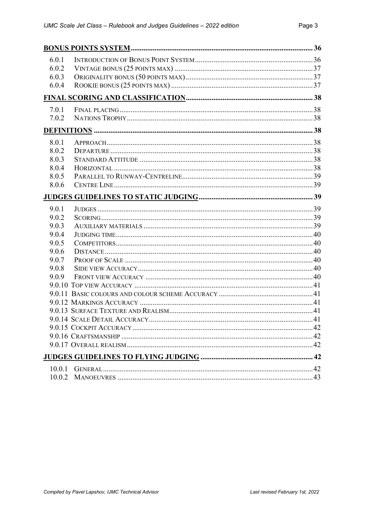| 6.0.1 |  |
|-------|--|
| 6.0.2 |  |
| 6.0.3 |  |
| 6.0.4 |  |
|       |  |
| 7.0.1 |  |
| 7.0.2 |  |
|       |  |
| 8.0.1 |  |
| 8.0.2 |  |
| 8.0.3 |  |
| 8.0.4 |  |
| 8.0.5 |  |
| 8.0.6 |  |
|       |  |
| 9.0.1 |  |
| 9.0.2 |  |
| 9.0.3 |  |
| 9.0.4 |  |
| 9.0.5 |  |
| 9.0.6 |  |
| 9.0.7 |  |
| 9.0.8 |  |
| 9.0.9 |  |
|       |  |
|       |  |
|       |  |
|       |  |
|       |  |
|       |  |
|       |  |
|       |  |
|       |  |
|       |  |
|       |  |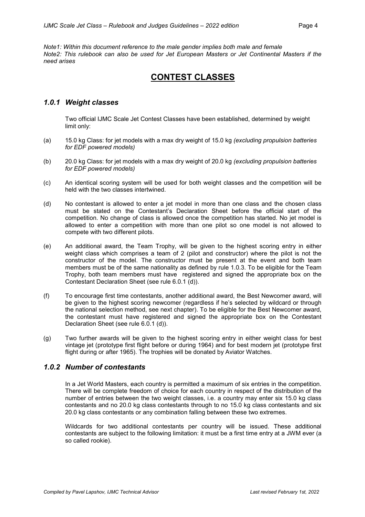*Note1: Within this document reference to the male gender implies both male and female Note2: This rulebook can also be used for Jet European Masters or Jet Continental Masters if the need arises*

# **CONTEST CLASSES**

#### *1.0.1 Weight classes*

Two official IJMC Scale Jet Contest Classes have been established, determined by weight limit only:

- (a) 15.0 kg Class: for jet models with a max dry weight of 15.0 kg *(excluding propulsion batteries for EDF powered models)*
- (b) 20.0 kg Class: for jet models with a max dry weight of 20.0 kg *(excluding propulsion batteries for EDF powered models)*
- (c) An identical scoring system will be used for both weight classes and the competition will be held with the two classes intertwined.
- (d) No contestant is allowed to enter a jet model in more than one class and the chosen class must be stated on the Contestant's Declaration Sheet before the official start of the competition. No change of class is allowed once the competition has started. No jet model is allowed to enter a competition with more than one pilot so one model is not allowed to compete with two different pilots.
- (e) An additional award, the Team Trophy, will be given to the highest scoring entry in either weight class which comprises a team of 2 (pilot and constructor) where the pilot is not the constructor of the model. The constructor must be present at the event and both team members must be of the same nationality as defined by rule 1.0.3. To be eligible for the Team Trophy, both team members must have registered and signed the appropriate box on the Contestant Declaration Sheet (see rule 6.0.1 (d)).
- (f) To encourage first time contestants, another additional award, the Best Newcomer award, will be given to the highest scoring newcomer (regardless if he's selected by wildcard or through the national selection method, see next chapter). To be eligible for the Best Newcomer award, the contestant must have registered and signed the appropriate box on the Contestant Declaration Sheet (see rule 6.0.1 (d)).
- (g) Two further awards will be given to the highest scoring entry in either weight class for best vintage jet (prototype first flight before or during 1964) and for best modern jet (prototype first flight during or after 1965). The trophies will be donated by Aviator Watches.

#### *1.0.2 Number of contestants*

In a Jet World Masters, each country is permitted a maximum of six entries in the competition. There will be complete freedom of choice for each country in respect of the distribution of the number of entries between the two weight classes, i.e. a country may enter six 15.0 kg class contestants and no 20.0 kg class contestants through to no 15.0 kg class contestants and six 20.0 kg class contestants or any combination falling between these two extremes.

Wildcards for two additional contestants per country will be issued. These additional contestants are subject to the following limitation: it must be a first time entry at a JWM ever (a so called rookie).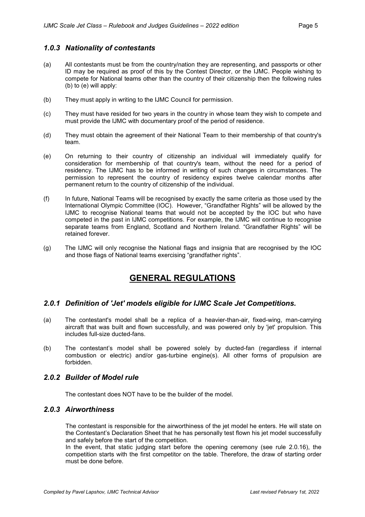#### *1.0.3 Nationality of contestants*

- (a) All contestants must be from the country/nation they are representing, and passports or other ID may be required as proof of this by the Contest Director, or the IJMC. People wishing to compete for National teams other than the country of their citizenship then the following rules (b) to (e) will apply:
- (b) They must apply in writing to the IJMC Council for permission.
- (c) They must have resided for two years in the country in whose team they wish to compete and must provide the IJMC with documentary proof of the period of residence.
- (d) They must obtain the agreement of their National Team to their membership of that country's team.
- (e) On returning to their country of citizenship an individual will immediately qualify for consideration for membership of that country's team, without the need for a period of residency. The IJMC has to be informed in writing of such changes in circumstances. The permission to represent the country of residency expires twelve calendar months after permanent return to the country of citizenship of the individual.
- (f) In future, National Teams will be recognised by exactly the same criteria as those used by the International Olympic Committee (IOC). However, "Grandfather Rights" will be allowed by the IJMC to recognise National teams that would not be accepted by the IOC but who have competed in the past in IJMC competitions. For example, the IJMC will continue to recognise separate teams from England, Scotland and Northern Ireland. "Grandfather Rights" will be retained forever.
- (g) The IJMC will only recognise the National flags and insignia that are recognised by the IOC and those flags of National teams exercising "grandfather rights".

# **GENERAL REGULATIONS**

#### *2.0.1 Definition of 'Jet' models eligible for IJMC Scale Jet Competitions.*

- (a) The contestant's model shall be a replica of a heavier-than-air, fixed-wing, man-carrying aircraft that was built and flown successfully, and was powered only by 'jet' propulsion. This includes full-size ducted-fans.
- (b) The contestant's model shall be powered solely by ducted-fan (regardless if internal combustion or electric) and/or gas-turbine engine(s). All other forms of propulsion are forbidden.

#### *2.0.2 Builder of Model rule*

The contestant does NOT have to be the builder of the model.

#### *2.0.3 Airworthiness*

The contestant is responsible for the airworthiness of the jet model he enters. He will state on the Contestant's Declaration Sheet that he has personally test flown his jet model successfully and safely before the start of the competition.

In the event, that static judging start before the opening ceremony (see rule 2.0.16), the competition starts with the first competitor on the table. Therefore, the draw of starting order must be done before.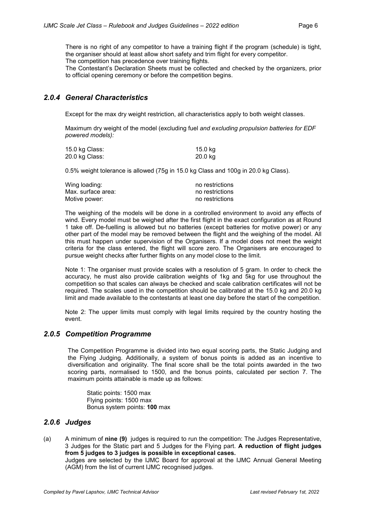There is no right of any competitor to have a training flight if the program (schedule) is tight, the organiser should at least allow short safety and trim flight for every competitor. The competition has precedence over training flights.

The Contestant's Declaration Sheets must be collected and checked by the organizers, prior to official opening ceremony or before the competition begins.

#### *2.0.4 General Characteristics*

Except for the max dry weight restriction, all characteristics apply to both weight classes.

Maximum dry weight of the model (excluding fuel *and excluding propulsion batteries for EDF powered models):*

| 15.0 kg Class: | 15.0 kg |
|----------------|---------|
| 20.0 kg Class: | 20.0 kg |

0.5% weight tolerance is allowed (75g in 15.0 kg Class and 100g in 20.0 kg Class).

| Wing loading:      | no restrictions |
|--------------------|-----------------|
| Max. surface area: | no restrictions |
| Motive power:      | no restrictions |

The weighing of the models will be done in a controlled environment to avoid any effects of wind. Every model must be weighed after the first flight in the exact configuration as at Round 1 take off. De-fuelling is allowed but no batteries (except batteries for motive power) or any other part of the model may be removed between the flight and the weighing of the model. All this must happen under supervision of the Organisers. If a model does not meet the weight criteria for the class entered, the flight will score zero. The Organisers are encouraged to pursue weight checks after further flights on any model close to the limit.

Note 1: The organiser must provide scales with a resolution of 5 gram. In order to check the accuracy, he must also provide calibration weights of 1kg and 5kg for use throughout the competition so that scales can always be checked and scale calibration certificates will not be required. The scales used in the competition should be calibrated at the 15.0 kg and 20.0 kg limit and made available to the contestants at least one day before the start of the competition.

Note 2: The upper limits must comply with legal limits required by the country hosting the event.

#### *2.0.5 Competition Programme*

The Competition Programme is divided into two equal scoring parts, the Static Judging and the Flying Judging. Additionally, a system of bonus points is added as an incentive to diversification and originality. The final score shall be the total points awarded in the two scoring parts, normalised to 1500, and the bonus points, calculated per section 7. The maximum points attainable is made up as follows:

Static points: 1500 max Flying points: 1500 max Bonus system points: **100** max

#### *2.0.6 Judges*

(a) A minimum of **nine (9)** judges is required to run the competition: The Judges Representative, 3 Judges for the Static part and 5 Judges for the Flying part. **A reduction of flight judges from 5 judges to 3 judges is possible in exceptional cases.**

Judges are selected by the IJMC Board for approval at the IJMC Annual General Meeting (AGM) from the list of current IJMC recognised judges.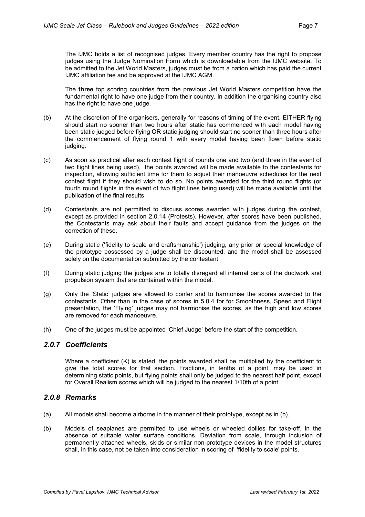The IJMC holds a list of recognised judges. Every member country has the right to propose judges using the Judge Nomination Form which is downloadable from the IJMC website. To be admitted to the Jet World Masters, judges must be from a nation which has paid the current IJMC affiliation fee and be approved at the IJMC AGM.

The **three** top scoring countries from the previous Jet World Masters competition have the fundamental right to have one judge from their country. In addition the organising country also has the right to have one judge.

- (b) At the discretion of the organisers, generally for reasons of timing of the event, EITHER flying should start no sooner than two hours after static has commenced with each model having been static judged before flying OR static judging should start no sooner than three hours after the commencement of flying round 1 with every model having been flown before static judging.
- (c) As soon as practical after each contest flight of rounds one and two (and three in the event of two flight lines being used), the points awarded will be made available to the contestants for inspection, allowing sufficient time for them to adjust their manoeuvre schedules for the next contest flight if they should wish to do so. No points awarded for the third round flights (or fourth round flights in the event of two flight lines being used) will be made available until the publication of the final results.
- (d) Contestants are not permitted to discuss scores awarded with judges during the contest, except as provided in section 2.0.14 (Protests). However, after scores have been published, the Contestants may ask about their faults and accept guidance from the judges on the correction of these.
- (e) During static ('fidelity to scale and craftsmanship') judging, any prior or special knowledge of the prototype possessed by a judge shall be discounted, and the model shall be assessed solely on the documentation submitted by the contestant.
- (f) During static judging the judges are to totally disregard all internal parts of the ductwork and propulsion system that are contained within the model.
- (g) Only the 'Static' judges are allowed to confer and to harmonise the scores awarded to the contestants. Other than in the case of scores in 5.0.4 for for Smoothness, Speed and Flight presentation, the 'Flying' judges may not harmonise the scores, as the high and low scores are removed for each manoeuvre.
- (h) One of the judges must be appointed 'Chief Judge' before the start of the competition.

#### *2.0.7 Coefficients*

Where a coefficient (K) is stated, the points awarded shall be multiplied by the coefficient to give the total scores for that section. Fractions, in tenths of a point, may be used in determining static points, but flying points shall only be judged to the nearest half point, except for Overall Realism scores which will be judged to the nearest 1/10th of a point.

#### *2.0.8 Remarks*

- (a) All models shall become airborne in the manner of their prototype, except as in (b).
- (b) Models of seaplanes are permitted to use wheels or wheeled dollies for take-off, in the absence of suitable water surface conditions. Deviation from scale, through inclusion of permanently attached wheels, skids or similar non-prototype devices in the model structures shall, in this case, not be taken into consideration in scoring of 'fidelity to scale' points.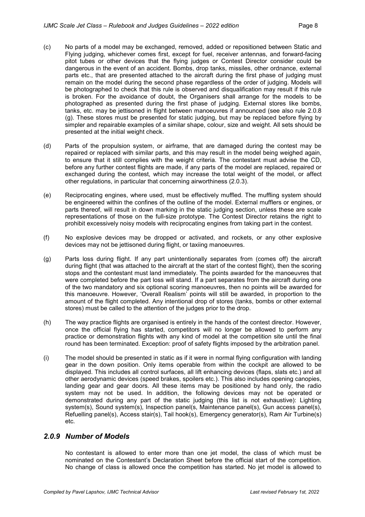- (c) No parts of a model may be exchanged, removed, added or repositioned between Static and Flying judging, whichever comes first, except for fuel, receiver antennas, and forward-facing pitot tubes or other devices that the flying judges or Contest Director consider could be dangerous in the event of an accident. Bombs, drop tanks, missiles, other ordnance, external parts etc., that are presented attached to the aircraft during the first phase of judging must remain on the model during the second phase regardless of the order of judging. Models will be photographed to check that this rule is observed and disqualification may result if this rule is broken. For the avoidance of doubt, the Organisers shall arrange for the models to be photographed as presented during the first phase of judging. External stores like bombs, tanks, etc. may be jettisoned in flight between manoeuvres if announced (see also rule 2.0.8 (g). These stores must be presented for static judging, but may be replaced before flying by simpler and repairable examples of a similar shape, colour, size and weight. All sets should be presented at the initial weight check.
- (d) Parts of the propulsion system, or airframe, that are damaged during the contest may be repaired or replaced with similar parts, and this may result in the model being weighed again, to ensure that it still complies with the weight criteria. The contestant must advise the CD, before any further contest flights are made, if any parts of the model are replaced, repaired or exchanged during the contest, which may increase the total weight of the model, or affect other regulations, in particular that concerning airworthiness (2.0.3).
- (e) Reciprocating engines, where used, must be effectively muffled. The muffling system should be engineered within the confines of the outline of the model. External mufflers or engines, or parts thereof, will result in down marking in the static judging section, unless these are scale representations of those on the full-size prototype. The Contest Director retains the right to prohibit excessively noisy models with reciprocating engines from taking part in the contest.
- (f) No explosive devices may be dropped or activated, and rockets, or any other explosive devices may not be jettisoned during flight, or taxiing manoeuvres.
- (g) Parts loss during flight. If any part unintentionally separates from (comes off) the aircraft during flight (that was attached to the aircraft at the start of the contest flight), then the scoring stops and the contestant must land immediately. The points awarded for the manoeuvres that were completed before the part loss will stand. If a part separates from the aircraft during one of the two mandatory and six optional scoring manoeuvres, then no points will be awarded for this manoeuvre. However, 'Overall Realism' points will still be awarded, in proportion to the amount of the flight completed. Any intentional drop of stores (tanks, bombs or other external stores) must be called to the attention of the judges prior to the drop.
- (h) The way practice flights are organised is entirely in the hands of the contest director. However, once the official flying has started, competitors will no longer be allowed to perform any practice or demonstration flights with any kind of model at the competition site until the final round has been terminated. Exception: proof of safety flights imposed by the arbitration panel.
- (i) The model should be presented in static as if it were in normal flying configuration with landing gear in the down position. Only items operable from within the cockpit are allowed to be displayed. This includes all control surfaces, all lift enhancing devices (flaps, slats etc.) and all other aerodynamic devices (speed brakes, spoilers etc.). This also includes opening canopies, landing gear and gear doors. All these items may be positioned by hand only, the radio system may not be used. In addition, the following devices may not be operated or demonstrated during any part of the static judging (this list is not exhaustive): Lighting system(s), Sound system(s), Inspection panel(s, Maintenance panel(s), Gun access panel(s), Refuelling panel(s), Access stair(s), Tail hook(s), Emergency generator(s), Ram Air Turbine(s) etc.

#### *2.0.9 Number of Models*

No contestant is allowed to enter more than one jet model, the class of which must be nominated on the Contestant's Declaration Sheet before the official start of the competition. No change of class is allowed once the competition has started. No jet model is allowed to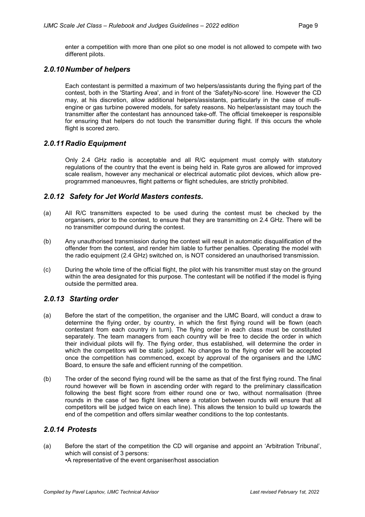enter a competition with more than one pilot so one model is not allowed to compete with two different pilots.

#### *2.0.10 Number of helpers*

Each contestant is permitted a maximum of two helpers/assistants during the flying part of the contest, both in the 'Starting Area', and in front of the 'Safety/No-score' line. However the CD may, at his discretion, allow additional helpers/assistants, particularly in the case of multiengine or gas turbine powered models, for safety reasons. No helper/assistant may touch the transmitter after the contestant has announced take-off. The official timekeeper is responsible for ensuring that helpers do not touch the transmitter during flight. If this occurs the whole flight is scored zero.

#### *2.0.11 Radio Equipment*

Only 2.4 GHz radio is acceptable and all R/C equipment must comply with statutory regulations of the country that the event is being held in. Rate gyros are allowed for improved scale realism, however any mechanical or electrical automatic pilot devices, which allow preprogrammed manoeuvres, flight patterns or flight schedules, are strictly prohibited.

#### *2.0.12 Safety for Jet World Masters contests.*

- (a) All R/C transmitters expected to be used during the contest must be checked by the organisers, prior to the contest, to ensure that they are transmitting on 2.4 GHz. There will be no transmitter compound during the contest.
- (b) Any unauthorised transmission during the contest will result in automatic disqualification of the offender from the contest, and render him liable to further penalties. Operating the model with the radio equipment (2.4 GHz) switched on, is NOT considered an unauthorised transmission.
- (c) During the whole time of the official flight, the pilot with his transmitter must stay on the ground within the area designated for this purpose. The contestant will be notified if the model is flying outside the permitted area.

#### *2.0.13 Starting order*

- (a) Before the start of the competition, the organiser and the IJMC Board, will conduct a draw to determine the flying order, by country, in which the first flying round will be flown (each contestant from each country in turn). The flying order in each class must be constituted separately. The team managers from each country will be free to decide the order in which their individual pilots will fly. The flying order, thus established, will determine the order in which the competitors will be static judged. No changes to the flying order will be accepted once the competition has commenced, except by approval of the organisers and the IJMC Board, to ensure the safe and efficient running of the competition.
- (b) The order of the second flying round will be the same as that of the first flying round. The final round however will be flown in ascending order with regard to the preliminary classification following the best flight score from either round one or two, without normalisation (three rounds in the case of two flight lines where a rotation between rounds will ensure that all competitors will be judged twice on each line). This allows the tension to build up towards the end of the competition and offers similar weather conditions to the top contestants.

#### *2.0.14 Protests*

(a) Before the start of the competition the CD will organise and appoint an 'Arbitration Tribunal', which will consist of 3 persons: •A representative of the event organiser/host association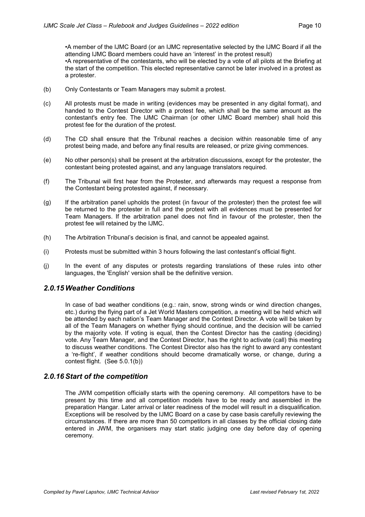•A member of the IJMC Board (or an IJMC representative selected by the IJMC Board if all the attending IJMC Board members could have an 'interest' in the protest result) •A representative of the contestants, who will be elected by a vote of all pilots at the Briefing at the start of the competition. This elected representative cannot be later involved in a protest as a protester.

- (b) Only Contestants or Team Managers may submit a protest.
- (c) All protests must be made in writing (evidences may be presented in any digital format), and handed to the Contest Director with a protest fee, which shall be the same amount as the contestant's entry fee. The IJMC Chairman (or other IJMC Board member) shall hold this protest fee for the duration of the protest.
- (d) The CD shall ensure that the Tribunal reaches a decision within reasonable time of any protest being made, and before any final results are released, or prize giving commences.
- (e) No other person(s) shall be present at the arbitration discussions, except for the protester, the contestant being protested against, and any language translators required.
- (f) The Tribunal will first hear from the Protester, and afterwards may request a response from the Contestant being protested against, if necessary.
- (g) If the arbitration panel upholds the protest (in favour of the protester) then the protest fee will be returned to the protester in full and the protest with all evidences must be presented for Team Managers. If the arbitration panel does not find in favour of the protester, then the protest fee will retained by the IJMC.
- (h) The Arbitration Tribunal's decision is final, and cannot be appealed against.
- (i) Protests must be submitted within 3 hours following the last contestant's official flight.
- (j) In the event of any disputes or protests regarding translations of these rules into other languages, the 'English' version shall be the definitive version.

#### *2.0.15 Weather Conditions*

In case of bad weather conditions (e.g.: rain, snow, strong winds or wind direction changes, etc.) during the flying part of a Jet World Masters competition, a meeting will be held which will be attended by each nation's Team Manager and the Contest Director. A vote will be taken by all of the Team Managers on whether flying should continue, and the decision will be carried by the majority vote. If voting is equal, then the Contest Director has the casting (deciding) vote. Any Team Manager, and the Contest Director, has the right to activate (call) this meeting to discuss weather conditions. The Contest Director also has the right to award any contestant a 're-flight', if weather conditions should become dramatically worse, or change, during a contest flight. (See 5.0.1(b))

#### *2.0.16Start of the competition*

The JWM competition officially starts with the opening ceremony. All competitors have to be present by this time and all competition models have to be ready and assembled in the preparation Hangar. Later arrival or later readiness of the model will result in a disqualification. Exceptions will be resolved by the IJMC Board on a case by case basis carefully reviewing the circumstances. If there are more than 50 competitors in all classes by the official closing date entered in JWM, the organisers may start static judging one day before day of opening ceremony.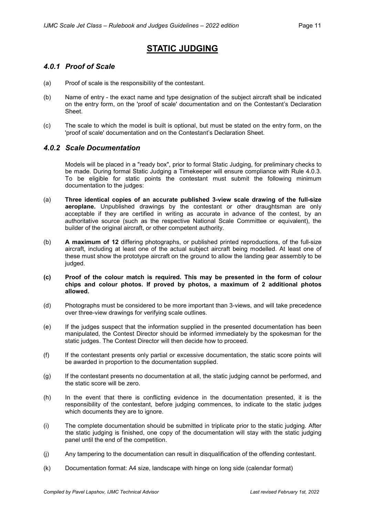# **STATIC JUDGING**

#### *4.0.1 Proof of Scale*

- (a) Proof of scale is the responsibility of the contestant.
- (b) Name of entry the exact name and type designation of the subject aircraft shall be indicated on the entry form, on the 'proof of scale' documentation and on the Contestant's Declaration Sheet.
- (c) The scale to which the model is built is optional, but must be stated on the entry form, on the 'proof of scale' documentation and on the Contestant's Declaration Sheet.

#### *4.0.2 Scale Documentation*

Models will be placed in a "ready box", prior to formal Static Judging, for preliminary checks to be made. During formal Static Judging a Timekeeper will ensure compliance with Rule 4.0.3. To be eligible for static points the contestant must submit the following minimum documentation to the judges:

- (a) **Three identical copies of an accurate published 3-view scale drawing of the full-size aeroplane.** Unpublished drawings by the contestant or other draughtsman are only acceptable if they are certified in writing as accurate in advance of the contest, by an authoritative source (such as the respective National Scale Committee or equivalent), the builder of the original aircraft, or other competent authority.
- (b) **A maximum of 12** differing photographs, or published printed reproductions, of the full-size aircraft, including at least one of the actual subject aircraft being modelled. At least one of these must show the prototype aircraft on the ground to allow the landing gear assembly to be judged.

#### **(c) Proof of the colour match is required. This may be presented in the form of colour chips and colour photos. If proved by photos, a maximum of 2 additional photos allowed.**

- (d) Photographs must be considered to be more important than 3-views, and will take precedence over three-view drawings for verifying scale outlines.
- (e) If the judges suspect that the information supplied in the presented documentation has been manipulated, the Contest Director should be informed immediately by the spokesman for the static judges. The Contest Director will then decide how to proceed.
- (f) If the contestant presents only partial or excessive documentation, the static score points will be awarded in proportion to the documentation supplied.
- (g) If the contestant presents no documentation at all, the static judging cannot be performed, and the static score will be zero.
- (h) In the event that there is conflicting evidence in the documentation presented, it is the responsibility of the contestant, before judging commences, to indicate to the static judges which documents they are to ignore.
- (i) The complete documentation should be submitted in triplicate prior to the static judging. After the static judging is finished, one copy of the documentation will stay with the static judging panel until the end of the competition.
- (j) Any tampering to the documentation can result in disqualification of the offending contestant.
- (k) Documentation format: A4 size, landscape with hinge on long side (calendar format)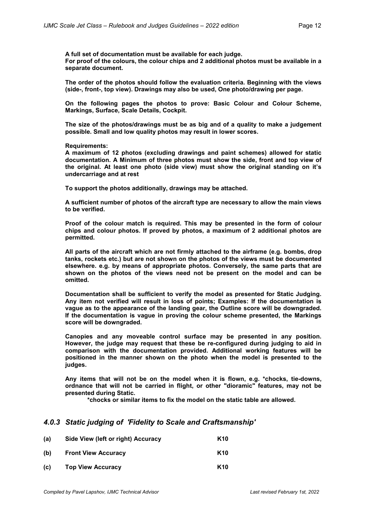**A full set of documentation must be available for each judge. For proof of the colours, the colour chips and 2 additional photos must be available in a separate document.**

**The order of the photos should follow the evaluation criteria. Beginning with the views (side-, front-, top view). Drawings may also be used, One photo/drawing per page.**

**On the following pages the photos to prove: Basic Colour and Colour Scheme, Markings, Surface, Scale Details, Cockpit.**

**The size of the photos/drawings must be as big and of a quality to make a judgement possible. Small and low quality photos may result in lower scores.**

**Requirements:**

**A maximum of 12 photos (excluding drawings and paint schemes) allowed for static documentation. A Minimum of three photos must show the side, front and top view of the original. At least one photo (side view) must show the original standing on it's undercarriage and at rest**

**To support the photos additionally, drawings may be attached.**

**A sufficient number of photos of the aircraft type are necessary to allow the main views to be verified.**

**Proof of the colour match is required. This may be presented in the form of colour chips and colour photos. If proved by photos, a maximum of 2 additional photos are permitted.**

**All parts of the aircraft which are not firmly attached to the airframe (e.g. bombs, drop tanks, rockets etc.) but are not shown on the photos of the views must be documented elsewhere. e.g. by means of appropriate photos. Conversely, the same parts that are shown on the photos of the views need not be present on the model and can be omitted.**

**Documentation shall be sufficient to verify the model as presented for Static Judging. Any item not verified will result in loss of points; Examples: If the documentation is vague as to the appearance of the landing gear, the Outline score will be downgraded. If the documentation is vague in proving the colour scheme presented, the Markings score will be downgraded.**

**Canopies and any moveable control surface may be presented in any position. However, the judge may request that these be re-configured during judging to aid in comparison with the documentation provided. Additional working features will be positioned in the manner shown on the photo when the model is presented to the judges.**

**Any items that will not be on the model when it is flown, e.g. \*chocks, tie-downs, ordnance that will not be carried in flight, or other "dioramic" features, may not be presented during Static.**

**\*chocks or similar items to fix the model on the static table are allowed.**

#### *4.0.3 Static judging of 'Fidelity to Scale and Craftsmanship'*

| (a) | Side View (left or right) Accuracy | K <sub>10</sub> |
|-----|------------------------------------|-----------------|
| (b) | <b>Front View Accuracy</b>         | K <sub>10</sub> |
| (c) | <b>Top View Accuracy</b>           | K <sub>10</sub> |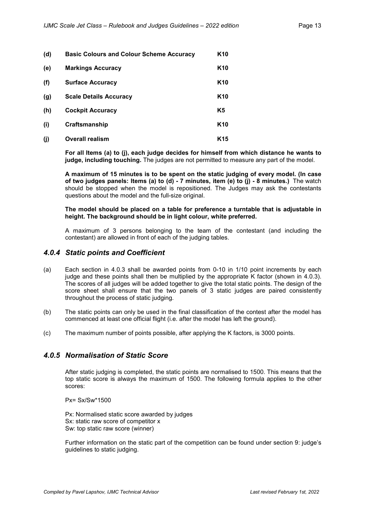| (d) | <b>Basic Colours and Colour Scheme Accuracy</b> | K <sub>10</sub> |
|-----|-------------------------------------------------|-----------------|
| (e) | <b>Markings Accuracy</b>                        | K <sub>10</sub> |
| (f) | <b>Surface Accuracy</b>                         | K <sub>10</sub> |
| (g) | <b>Scale Details Accuracy</b>                   | K <sub>10</sub> |
| (h) | <b>Cockpit Accuracy</b>                         | K5              |
| (i) | Craftsmanship                                   | K <sub>10</sub> |
| (i) | <b>Overall realism</b>                          | K <sub>15</sub> |

**For all Items (a) to (j), each judge decides for himself from which distance he wants to judge, including touching.** The judges are not permitted to measure any part of the model.

**A maximum of 15 minutes is to be spent on the static judging of every model. (In case of two judges panels: Items (a) to (d) - 7 minutes, item (e) to (j) - 8 minutes.)** The watch should be stopped when the model is repositioned. The Judges may ask the contestants questions about the model and the full-size original.

#### **The model should be placed on a table for preference a turntable that is adjustable in height. The background should be in light colour, white preferred.**

A maximum of 3 persons belonging to the team of the contestant (and including the contestant) are allowed in front of each of the judging tables.

#### *4.0.4 Static points and Coefficient*

- (a) Each section in 4.0.3 shall be awarded points from 0-10 in 1/10 point increments by each judge and these points shall then be multiplied by the appropriate K factor (shown in 4.0.3). The scores of all judges will be added together to give the total static points. The design of the score sheet shall ensure that the two panels of 3 static judges are paired consistently throughout the process of static judging.
- (b) The static points can only be used in the final classification of the contest after the model has commenced at least one official flight (i.e. after the model has left the ground).
- (c) The maximum number of points possible, after applying the K factors, is 3000 points.

#### *4.0.5 Normalisation of Static Score*

After static judging is completed, the static points are normalised to 1500. This means that the top static score is always the maximum of 1500. The following formula applies to the other scores:

Px= Sx/Sw\*1500

Px: Normalised static score awarded by judges Sx: static raw score of competitor x Sw: top static raw score (winner)

Further information on the static part of the competition can be found under section 9: judge's guidelines to static judging.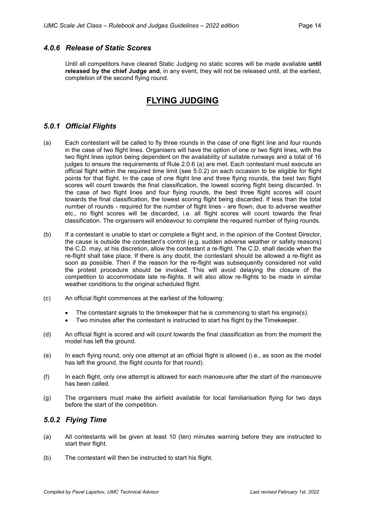#### *4.0.6 Release of Static Scores*

Until all competitors have cleared Static Judging no static scores will be made available **until released by the chief Judge and**, in any event, they will not be released until, at the earliest, completion of the second flying round.

# **FLYING JUDGING**

#### *5.0.1 Official Flights*

- (a) Each contestant will be called to fly three rounds in the case of one flight line and four rounds in the case of two flight lines. Organisers will have the option of one or two flight lines, with the two flight lines option being dependent on the availability of suitable runways and a total of 16 judges to ensure the requirements of Rule 2.0.6 (a) are met. Each contestant must execute an official flight within the required time limit (see 5.0.2) on each occasion to be eligible for flight points for that flight. In the case of one flight line and three flying rounds, the best two flight scores will count towards the final classification, the lowest scoring flight being discarded. In the case of two flight lines and four flying rounds, the best three flight scores will count towards the final classification, the lowest scoring flight being discarded. If less than the total number of rounds - required for the number of flight lines - are flown, due to adverse weather etc., no flight scores will be discarded, i.e. all flight scores will count towards the final classification. The organisers will endeavour to complete the required number of flying rounds.
- (b) If a contestant is unable to start or complete a flight and, in the opinion of the Contest Director, the cause is outside the contestant's control (e.g. sudden adverse weather or safety reasons) the C.D. may, at his discretion, allow the contestant a re-flight. The C.D. shall decide when the re-flight shall take place. If there is any doubt, the contestant should be allowed a re-flight as soon as possible. Then if the reason for the re-flight was subsequently considered not valid the protest procedure should be invoked. This will avoid delaying the closure of the competition to accommodate late re-flights. It will also allow re-flights to be made in similar weather conditions to the original scheduled flight.
- (c) An official flight commences at the earliest of the following:
	- The contestant signals to the time energies that he is commencing to start his engine(s).
	- Two minutes after the contestant is instructed to start his flight by the Timekeeper.
- (d) An official flight is scored and will count towards the final classification as from the moment the model has left the ground.
- (e) In each flying round, only one attempt at an official flight is allowed (i.e., as soon as the model has left the ground, the flight counts for that round).
- (f) In each flight, only one attempt is allowed for each manoeuvre after the start of the manoeuvre has been called.
- (g) The organisers must make the airfield available for local familiarisation flying for two days before the start of the competition.

#### *5.0.2 Flying Time*

- (a) All contestants will be given at least 10 (ten) minutes warning before they are instructed to start their flight.
- (b) The contestant will then be instructed to start his flight.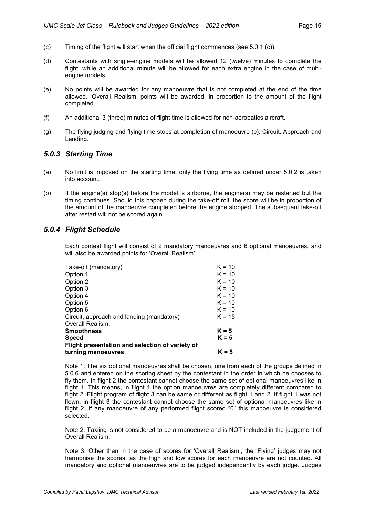- (c) Timing of the flight will start when the official flight commences (see 5.0.1 (c)).
- (d) Contestants with single-engine models will be allowed 12 (twelve) minutes to complete the flight, while an additional minute will be allowed for each extra engine in the case of multiengine models.
- (e) No points will be awarded for any manoeuvre that is not completed at the end of the time allowed. 'Overall Realism' points will be awarded, in proportion to the amount of the flight completed.
- (f) An additional 3 (three) minutes of flight time is allowed for non-aerobatics aircraft.
- (g) The flying judging and flying time stops at completion of manoeuvre (c): Circuit, Approach and Landing.

#### *5.0.3 Starting Time*

- (a) No limit is imposed on the starting time, only the flying time as defined under 5.0.2 is taken into account.
- (b) If the engine(s) stop(s) before the model is airborne, the engine(s) may be restarted but the timing continues. Should this happen during the take-off roll, the score will be in proportion of the amount of the manoeuvre completed before the engine stopped. The subsequent take-off after restart will not be scored again.

#### *5.0.4 Flight Schedule*

Each contest flight will consist of 2 mandatory manoeuvres and 6 optional manoeuvres, and will also be awarded points for 'Overall Realism'.

| Take-off (mandatory)                            | $K = 10$ |
|-------------------------------------------------|----------|
| Option 1                                        | $K = 10$ |
| Option 2                                        | $K = 10$ |
| Option 3                                        | $K = 10$ |
| Option 4                                        | $K = 10$ |
| Option 5                                        | $K = 10$ |
| Option 6                                        | $K = 10$ |
| Circuit, approach and landing (mandatory)       | $K = 15$ |
| Overall Realism:                                |          |
| Smoothness                                      | $K = 5$  |
| Speed                                           | $K = 5$  |
| Flight presentation and selection of variety of |          |
| turning manoeuvres                              | $K = 5$  |
|                                                 |          |

Note 1: The six optional manoeuvres shall be chosen, one from each of the groups defined in 5.0.6 and entered on the scoring sheet by the contestant in the order in which he chooses to fly them. In flight 2 the contestant cannot choose the same set of optional manoeuvres like in flight 1. This means, in flight 1 the option manoeuvres are completely different compared to flight 2. Flight program of flight 3 can be same or different as flight 1 and 2. If flight 1 was not flown, in flight 3 the contestant cannot choose the same set of optional manoeuvres like in flight 2. If any manoeuvre of any performed flight scored "0" this manoeuvre is considered selected.

Note 2: Taxiing is not considered to be a manoeuvre and is NOT included in the judgement of Overall Realism.

Note 3: Other than in the case of scores for 'Overall Realism', the 'Flying' judges may not harmonise the scores, as the high and low scores for each manoeuvre are not counted. All mandatory and optional manoeuvres are to be judged independently by each judge. Judges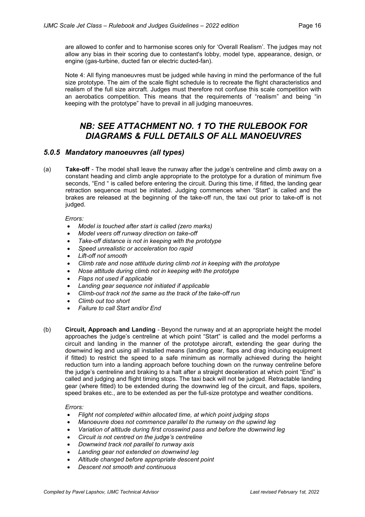are allowed to confer and to harmonise scores only for 'Overall Realism'. The judges may not allow any bias in their scoring due to contestant's lobby, model type, appearance, design, or engine (gas-turbine, ducted fan or electric ducted-fan).

Note 4: All flying manoeuvres must be judged while having in mind the performance of the full size prototype. The aim of the scale flight schedule is to recreate the flight characteristics and realism of the full size aircraft. Judges must therefore not confuse this scale competition with an aerobatics competition. This means that the requirements of "realism" and being "in keeping with the prototype" have to prevail in all judging manoeuvres.

# *NB: SEE ATTACHMENT NO. 1 TO THE RULEBOOK FOR DIAGRAMS & FULL DETAILS OF ALL MANOEUVRES*

#### *5.0.5 Mandatory manoeuvres (all types)*

(a) **Take-off** - The model shall leave the runway after the judge's centreline and climb away on a constant heading and climb angle appropriate to the prototype for a duration of minimum five seconds, "End " is called before entering the circuit. During this time, if fitted, the landing gear retraction sequence must be initiated. Judging commences when "Start" is called and the brakes are released at the beginning of the take-off run, the taxi out prior to take-off is not judged.

#### *Errors:*

- *Model is touched after start is called (zero marks)*
- *Model veers off runway direction on take-off*
- *Take-off distance is not in keeping with the prototype*
- *Speed unrealistic or acceleration too rapid*
- *Lift-off not smooth*
- *Climb rate and nose attitude during climb not in keeping with the prototype*
- *Nose attitude during climb not in keeping with the prototype*
- *Flaps not used if applicable*
- *Landing gear sequence not initiated if applicable*
- *Climb-out track not the same as the track of the take-off run*
- *Climb out too short*
- *Failure to call Start and/or End*
- (b) **Circuit, Approach and Landing** Beyond the runway and at an appropriate height the model approaches the judge's centreline at which point "Start" is called and the model performs a circuit and landing in the manner of the prototype aircraft, extending the gear during the downwind leg and using all installed means (landing gear, flaps and drag inducing equipment if fitted) to restrict the speed to a safe minimum as normally achieved during the height reduction turn into a landing approach before touching down on the runway centreline before the judge's centreline and braking to a halt after a straight deceleration at which point "End" is called and judging and flight timing stops. The taxi back will not be judged. Retractable landing gear (where fitted) to be extended during the downwind leg of the circuit, and flaps, spoilers, speed brakes etc., are to be extended as per the full-size prototype and weather conditions.

- *Flight not completed within allocated time, at which point judging stops*
- *Manoeuvre does not commence parallel to the runway on the upwind leg*
- *Variation of altitude during first crosswind pass and before the downwind leg*
- *Circuit is not centred on the judge's centreline*
- *Downwind track not parallel to runway axis*
- *Landing gear not extended on downwind leg*
- *Altitude changed before appropriate descent point*
- *Descent not smooth and continuous*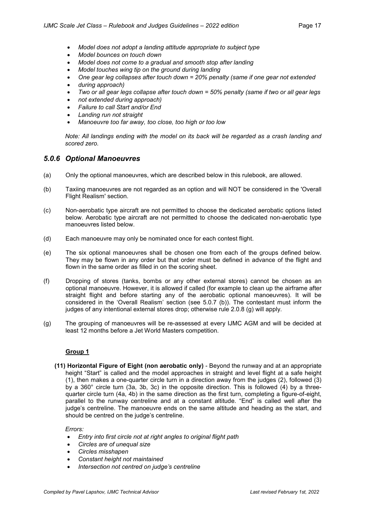- *Model does not adopt a landing attitude appropriate to subject type*
- *Model bounces on touch down*
- *Model does not come to a gradual and smooth stop after landing*
- *Model touches wing tip on the ground during landing*
- *One gear leg collapses after touch down = 20% penalty (same if one gear not extended*
- *during approach)*
- Two or all gear legs collapse after touch down = 50% penalty (same if two or all gear legs
- *not extended during approach)*
- *Failure to call Start and/or End*
- *Landing run not straight*
- *Manoeuvre too far away, too close, too high or too low*

*Note: All landings ending with the model on its back will be regarded as a crash landing and scored zero.*

#### *5.0.6 Optional Manoeuvres*

- (a) Only the optional manoeuvres, which are described below in this rulebook, are allowed.
- (b) Taxiing manoeuvres are not regarded as an option and will NOT be considered in the 'Overall Flight Realism' section.
- (c) Non-aerobatic type aircraft are not permitted to choose the dedicated aerobatic options listed below. Aerobatic type aircraft are not permitted to choose the dedicated non-aerobatic type manoeuvres listed below.
- (d) Each manoeuvre may only be nominated once for each contest flight.
- (e) The six optional manoeuvres shall be chosen one from each of the groups defined below. They may be flown in any order but that order must be defined in advance of the flight and flown in the same order as filled in on the scoring sheet.
- (f) Dropping of stores (tanks, bombs or any other external stores) cannot be chosen as an optional manoeuvre. However, it is allowed if called (for example to clean up the airframe after straight flight and before starting any of the aerobatic optional manoeuvres). It will be considered in the 'Overall Realism' section (see 5.0.7 (b)). The contestant must inform the judges of any intentional external stores drop; otherwise rule 2.0.8 (g) will apply.
- (g) The grouping of manoeuvres will be re-assessed at every IJMC AGM and will be decided at least 12 months before a Jet World Masters competition.

#### **Group 1**

**(11) Horizontal Figure of Eight (non aerobatic only)** - Beyond the runway and at an appropriate height "Start" is called and the model approaches in straight and level flight at a safe height (1), then makes a one-quarter circle turn in a direction away from the judges (2), followed (3) by a 360° circle turn (3a, 3b, 3c) in the opposite direction. This is followed (4) by a threequarter circle turn (4a, 4b) in the same direction as the first turn, completing a figure-of-eight, parallel to the runway centreline and at a constant altitude. "End" is called well after the judge's centreline. The manoeuvre ends on the same altitude and heading as the start, and should be centred on the judge's centreline.

- *Entry into first circle not at right angles to original flight path*
- *Circles are of unequal size*
- *Circles misshapen*
- *Constant height not maintained*
- *Intersection not centred on judge's centreline*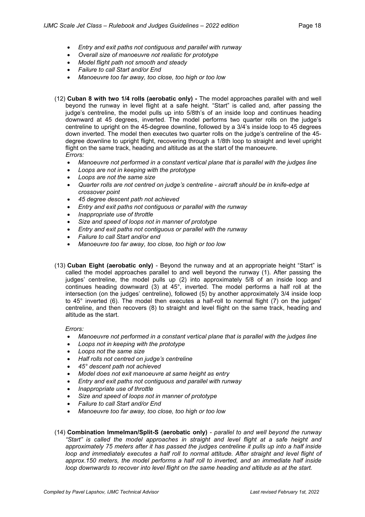- *Entry and exit paths not contiguous and parallel with runway*
- *Overall size of manoeuvre not realistic for prototype*
- *Model flight path not smooth and steady*
- *Failure to call Start and/or End*
- *Manoeuvre too far away, too close, too high or too low*

(12) **Cuban 8 with two 1/4 rolls (aerobatic only) -** The model approaches parallel with and well beyond the runway in level flight at a safe height. "Start" is called and, after passing the judge's centreline, the model pulls up into 5/8th's of an inside loop and continues heading downward at 45 degrees, inverted. The model performs two quarter rolls on the judge's centreline to upright on the 45-degree downline, followed by a 3/4's inside loop to 45 degrees down inverted. The model then executes two quarter rolls on the judge's centreline of the 45 degree downline to upright flight, recovering through a 1/8th loop to straight and level upright flight on the same track, heading and altitude as at the start of the manoeuvre. *Errors:*

- *Manoeuvre not performed in a constant vertical plane that is parallel with the judges line*
- *Loops are not in keeping with the prototype*
- *Loops are not the same size*
- *Quarter rolls are not centred on judge's centreline - aircraft should be in knife-edge at crossover point*
- *45 degree descent path not achieved*
- *Entry and exit paths not contiguous or parallel with the runway*
- *Inappropriate use of throttle*
- *Size and speed of loops not in manner of prototype*
- *Entry and exit paths not contiguous or parallel with the runway*
- *Failure to call Start and/or end*
- *Manoeuvre too far away, too close, too high or too low*
- (13) **Cuban Eight (aerobatic only)** Beyond the runway and at an appropriate height "Start" is called the model approaches parallel to and well beyond the runway (1). After passing the judges' centreline, the model pulls up (2) into approximately 5/8 of an inside loop and continues heading downward (3) at 45°, inverted. The model performs a half roll at the intersection (on the judges' centreline), followed (5) by another approximately 3/4 inside loop to 45° inverted (6). The model then executes a half-roll to normal flight (7) on the judges' centreline, and then recovers (8) to straight and level flight on the same track, heading and altitude as the start.

- *Manoeuvre not performed in a constant vertical plane that is parallel with the judges line*
- *Loops not in keeping with the prototype*
- *Loops not the same size*
- *Half rolls not centred on judge's centreline*
- *45° descent path not achieved*
- *Model does not exit manoeuvre at same height as entry*
- *Entry and exit paths not contiguous and parallel with runway*
- *Inappropriate use of throttle*
- *Size and speed of loops not in manner of prototype*
- *Failure to call Start and/or End*
- *Manoeuvre too far away, too close, too high or too low*
- (14) **Combination Immelman/Split-S (aerobatic only)** *parallel to and well beyond the runway "Start" is called the model approaches in straight and level flight at a safe height and approximately 75 meters after it has passed the judges centreline it pulls up into a half inside loop and immediately executes a half roll to normal attitude. After straight and level flight of approx.150 meters, the model performs a half roll to inverted, and an immediate half inside loop downwards to recover into level flight on the same heading and altitude as at the start.*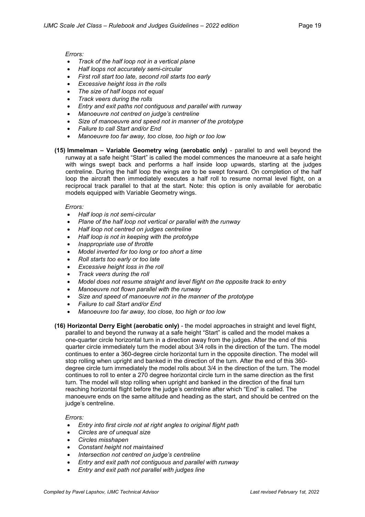#### *Errors:*

- *Track of the half loop not in a vertical plane*
- *Half loops not accurately semi-circular*
- *First roll start too late, second roll starts too early*
- *Excessive height loss in the rolls*
- *The size of half loops not equal*
- *Track veers during the rolls*
- *Entry and exit paths not contiguous and parallel with runway*
- *Manoeuvre not centred on judge's centreline*
- *Size of manoeuvre and speed not in manner of the prototype*
- *Failure to call Start and/or End*
- *Manoeuvre too far away, too close, too high or too low*
- **(15) Immelman – Variable Geometry wing (aerobatic only)** parallel to and well beyond the runway at a safe height "Start" is called the model commences the manoeuvre at a safe height with wings swept back and performs a half inside loop upwards, starting at the judges centreline. During the half loop the wings are to be swept forward. On completion of the half loop the aircraft then immediately executes a half roll to resume normal level flight, on a reciprocal track parallel to that at the start. Note: this option is only available for aerobatic models equipped with Variable Geometry wings.

#### *Errors:*

- *Half loop is not semi-circular*
- *Plane of the half loop not vertical or parallel with the runway*
- *Half loop not centred on judges centreline*
- *Half loop is not in keeping with the prototype*
- *Inappropriate use of throttle*
- *Model inverted for too long or too short a time*
- *Roll starts too early or too late*
- *Excessive height loss in the roll*
- *Track veers during the roll*
- *Model does not resume straight and level flight on the opposite track to entry*
- *Manoeuvre not flown parallel with the runway*
- *Size and speed of manoeuvre not in the manner of the prototype*
- *Failure to call Start and/or End*
- *Manoeuvre too far away, too close, too high or too low*
- **(16) Horizontal Derry Eight (aerobatic only)** the model approaches in straight and level flight, parallel to and beyond the runway at a safe height "Start" is called and the model makes a one-quarter circle horizontal turn in a direction away from the judges. After the end of this quarter circle immediately turn the model about 3/4 rolls in the direction of the turn. The model continues to enter a 360-degree circle horizontal turn in the opposite direction. The model will stop rolling when upright and banked in the direction of the turn. After the end of this 360 degree circle turn immediately the model rolls about 3/4 in the direction of the turn. The model continues to roll to enter a 270 degree horizontal circle turn in the same direction as the first turn. The model will stop rolling when upright and banked in the direction of the final turn reaching horizontal flight before the judge's centreline after which "End" is called. The manoeuvre ends on the same altitude and heading as the start, and should be centred on the judge's centreline.

- *Entry into first circle not at right angles to original flight path*
- *Circles are of unequal size*
- *Circles misshapen*
- *Constant height not maintained*
- *Intersection not centred on judge's centreline*
- *Entry and exit path not contiguous and parallel with runway*
- *Entry and exit path not parallel with judges line*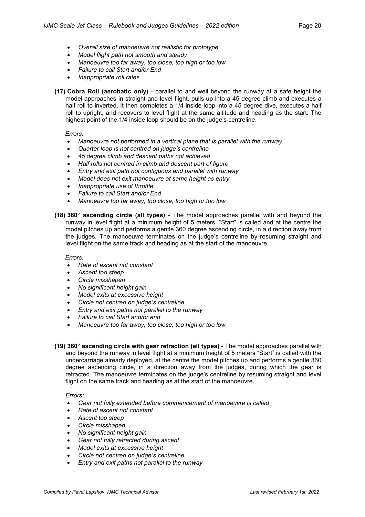- *Overall size of manoeuvre not realistic for prototype*
- *Model flight path not smooth and steady*
- *Manoeuvre too far away, too close, too high or too low*
- *Failure to call Start and/or End*
- *Inappropriate roll rates*
- **(17) Cobra Roll (aerobatic only)** parallel to and well beyond the runway at a safe height the model approaches in straight and level flight, pulls up into a 45 degree climb and executes a half roll to inverted. It then completes a 1/4 inside loop into a 45 degree dive, executes a half roll to upright, and recovers to level flight at the same altitude and heading as the start. The highest point of the 1/4 inside loop should be on the judge's centreline.

#### *Errors:*

- *Manoeuvre not performed in a vertical plane that is parallel with the runway*
- *Quarter loop is not centred on judge's centreline*
- *45 degree climb and descent paths not achieved*
- *Half rolls not centred in climb and descent part of figure*
- *Entry and exit path not contiguous and parallel with runway*
- *Model does not exit manoeuvre at same height as entry*
- *Inappropriate use of throttle*
- *Failure to call Start and/or End*
- *Manoeuvre too far away, too close, too high or too low*
- **(18) 360° ascending circle (all types)** The model approaches parallel with and beyond the runway in level flight at a minimum height of 5 meters, "Start" is called and at the centre the model pitches up and performs a gentle 360 degree ascending circle, in a direction away from the judges. The manoeuvre terminates on the judge's centreline by resuming straight and level flight on the same track and heading as at the start of the manoeuvre.

#### *Errors:*

- *Rate of ascent not constant*
- *Ascent too steep*
- *Circle misshapen*
- *No significant height gain*
- *Model exits at excessive height*
- *Circle not centred on judge's centreline*
- *Entry and exit paths not parallel to the runway*
- *Failure to call Start and/or end*
- *Manoeuvre too far away, too close, too high or too low*
- **(19) 360° ascending circle with gear retraction (all types)** The model approaches parallel with and beyond the runway in level flight at a minimum height of 5 meters "Start" is called with the undercarriage already deployed, at the centre the model pitches up and performs a gentle 360 degree ascending circle, in a direction away from the judges, during which the gear is retracted. The manoeuvre terminates on the judge's centreline by resuming straight and level flight on the same track and heading as at the start of the manoeuvre.

- *Gear not fully extended before commencement of manoeuvre is called*
- *Rate of ascent not constant*
- *Ascent too steep*
- *Circle misshapen*
- *No significant height gain*
- *Gear not fully retracted during ascent*
- *Model exits at excessive height*
- *Circle not centred on judge's centreline*
- *Entry and exit paths not parallel to the runway*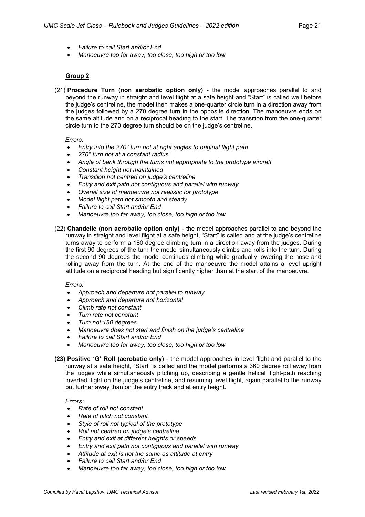- *Failure to call Start and/or End*
- *Manoeuvre too far away, too close, too high or too low*

#### **Group 2**

(21) **Procedure Turn (non aerobatic option only)** - the model approaches parallel to and beyond the runway in straight and level flight at a safe height and "Start" is called well before the judge's centreline, the model then makes a one-quarter circle turn in a direction away from the judges followed by a 270 degree turn in the opposite direction. The manoeuvre ends on the same altitude and on a reciprocal heading to the start. The transition from the one-quarter circle turn to the 270 degree turn should be on the judge's centreline.

#### *Errors:*

- *Entry into the 270° turn not at right angles to original flight path*
- *270° turn not at a constant radius*
- *Angle of bank through the turns not appropriate to the prototype aircraft*
- *Constant height not maintained*
- *Transition not centred on judge's centreline*
- *Entry and exit path not contiguous and parallel with runway*
- *Overall size of manoeuvre not realistic for prototype*
- *Model flight path not smooth and steady*
- *Failure to call Start and/or End*
- *Manoeuvre too far away, too close, too high or too low*
- (22) **Chandelle (non aerobatic option only)** the model approaches parallel to and beyond the runway in straight and level flight at a safe height, "Start" is called and at the judge's centreline turns away to perform a 180 degree climbing turn in a direction away from the judges. During the first 90 degrees of the turn the model simultaneously climbs and rolls into the turn. During the second 90 degrees the model continues climbing while gradually lowering the nose and rolling away from the turn. At the end of the manoeuvre the model attains a level upright attitude on a reciprocal heading but significantly higher than at the start of the manoeuvre.

#### *Errors:*

- *Approach and departure not parallel to runway*
- *Approach and departure not horizontal*
- *Climb rate not constant*
- *Turn rate not constant*
- *Turn not 180 degrees*
- *Manoeuvre does not start and finish on the judge's centreline*
- *Failure to call Start and/or End*
- *Manoeuvre too far away, too close, too high or too low*
- **(23) Positive 'G' Roll (aerobatic only)** the model approaches in level flight and parallel to the runway at a safe height, "Start" is called and the model performs a 360 degree roll away from the judges while simultaneously pitching up, describing a gentle helical flight-path reaching inverted flight on the judge's centreline, and resuming level flight, again parallel to the runway but further away than on the entry track and at entry height.

- *Rate of roll not constant*
- *Rate of pitch not constant*
- *Style of roll not typical of the prototype*
- *Roll not centred on judge's centreline*
- *Entry and exit at different heights or speeds*
- *Entry and exit path not contiguous and parallel with runway*
- *Attitude at exit is not the same as attitude at entry*
- *Failure to call Start and/or End*
- *Manoeuvre too far away, too close, too high or too low*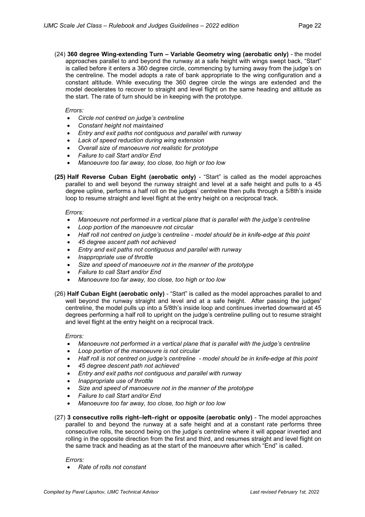(24) **360 degree Wing-extending Turn – Variable Geometry wing (aerobatic only)** - the model approaches parallel to and beyond the runway at a safe height with wings swept back, "Start" is called before it enters a 360 degree circle, commencing by turning away from the judge's on the centreline. The model adopts a rate of bank appropriate to the wing configuration and a constant altitude. While executing the 360 degree circle the wings are extended and the model decelerates to recover to straight and level flight on the same heading and altitude as the start. The rate of turn should be in keeping with the prototype.

#### *Errors:*

- *Circle not centred on judge's centreline*
- *Constant height not maintained*
- *Entry and exit paths not contiguous and parallel with runway*
- *Lack of speed reduction during wing extension*
- *Overall size of manoeuvre not realistic for prototype*
- *Failure to call Start and/or End*
- *Manoeuvre too far away, too close, too high or too low*
- **(25) Half Reverse Cuban Eight (aerobatic only)** "Start" is called as the model approaches parallel to and well beyond the runway straight and level at a safe height and pulls to a 45 degree upline, performs a half roll on the judges' centreline then pulls through a 5/8th's inside loop to resume straight and level flight at the entry height on a reciprocal track.

#### *Errors:*

- *Manoeuvre not performed in a vertical plane that is parallel with the judge's centreline*
- *Loop portion of the manoeuvre not circular*
- *Half roll not centred on judge's centreline - model should be in knife-edge at this point*
- *45 degree ascent path not achieved*
- *Entry and exit paths not contiguous and parallel with runway*
- *Inappropriate use of throttle*
- *Size and speed of manoeuvre not in the manner of the prototype*
- *Failure to call Start and/or End*
- *Manoeuvre too far away, too close, too high or too low*
- (26) **Half Cuban Eight (aerobatic only)** "Start" is called as the model approaches parallel to and well beyond the runway straight and level and at a safe height. After passing the judges' centreline, the model pulls up into a 5/8th's inside loop and continues inverted downward at 45 degrees performing a half roll to upright on the judge's centreline pulling out to resume straight and level flight at the entry height on a reciprocal track.

#### *Errors:*

- *Manoeuvre not performed in a vertical plane that is parallel with the judge's centreline*
- *Loop portion of the manoeuvre is not circular*
- *Half roll is not centred on judge's centreline - model should be in knife-edge at this point*
- *45 degree descent path not achieved*
- *Entry and exit paths not contiguous and parallel with runway*
- *Inappropriate use of throttle*
- *Size and speed of manoeuvre not in the manner of the prototype*
- *Failure to call Start and/or End*
- *Manoeuvre too far away, too close, too high or too low*
- (27) **3 consecutive rolls right–left–right or opposite (aerobatic only)** The model approaches parallel to and beyond the runway at a safe height and at a constant rate performs three consecutive rolls, the second being on the judge's centreline where it will appear inverted and rolling in the opposite direction from the first and third, and resumes straight and level flight on the same track and heading as at the start of the manoeuvre after which "End" is called.

*Errors:*

• *Rate of rolls not constant*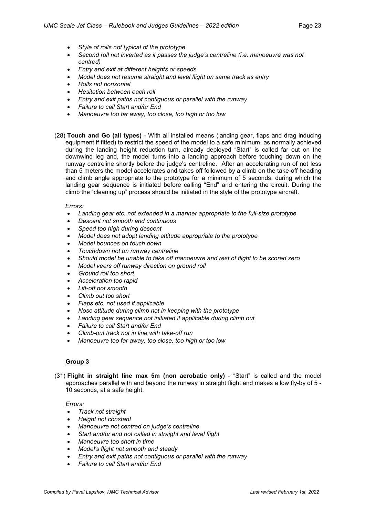- *Style of rolls not typical of the prototype*
- *Second roll not inverted as it passes the judge's centreline (i.e. manoeuvre was not centred)*
- *Entry and exit at different heights or speeds*
- *Model does not resume straight and level flight on same track as entry*
- *Rolls not horizontal*
- *Hesitation between each roll*
- *Entry and exit paths not contiguous or parallel with the runway*
- *Failure to call Start and/or End*
- *Manoeuvre too far away, too close, too high or too low*
- (28) **Touch and Go (all types)** With all installed means (landing gear, flaps and drag inducing equipment if fitted) to restrict the speed of the model to a safe minimum, as normally achieved during the landing height reduction turn, already deployed "Start" is called far out on the downwind leg and, the model turns into a landing approach before touching down on the runway centreline shortly before the judge's centreline. After an accelerating run of not less than 5 meters the model accelerates and takes off followed by a climb on the take-off heading and climb angle appropriate to the prototype for a minimum of 5 seconds, during which the landing gear sequence is initiated before calling "End" and entering the circuit. During the climb the "cleaning up" process should be initiated in the style of the prototype aircraft.

#### *Errors:*

- *Landing gear etc. not extended in a manner appropriate to the full-size prototype*
- *Descent not smooth and continuous*
- *Speed too high during descent*
- *Model does not adopt landing attitude appropriate to the prototype*
- *Model bounces on touch down*
- *Touchdown not on runway centreline*
- *Should model be unable to take off manoeuvre and rest of flight to be scored zero*
- *Model veers off runway direction on ground roll*
- *Ground roll too short*
- *Acceleration too rapid*
- *Lift-off not smooth*
- *Climb out too short*
- *Flaps etc. not used if applicable*
- *Nose attitude during climb not in keeping with the prototype*
- *Landing gear sequence not initiated if applicable during climb out*
- *Failure to call Start and/or End*
- *Climb-out track not in line with take-off run*
- *Manoeuvre too far away, too close, too high or too low*

#### **Group 3**

(31) **Flight in straight line max 5m (non aerobatic only)** - "Start" is called and the model approaches parallel with and beyond the runway in straight flight and makes a low fly-by of 5 - 10 seconds, at a safe height.

- *Track not straight*
- *Height not constant*
- *Manoeuvre not centred on judge's centreline*
- *Start and/or end not called in straight and level flight*
- *Manoeuvre too short in time*
- *Model's flight not smooth and steady*
- *Entry and exit paths not contiguous or parallel with the runway*
- *Failure to call Start and/or End*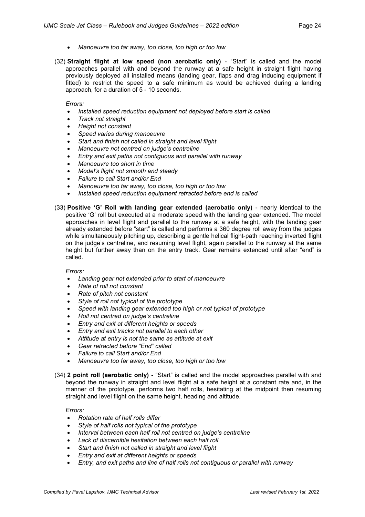- *Manoeuvre too far away, too close, too high or too low*
- (32) **Straight flight at low speed (non aerobatic only)** "Start" is called and the model approaches parallel with and beyond the runway at a safe height in straight flight having previously deployed all installed means (landing gear, flaps and drag inducing equipment if fitted) to restrict the speed to a safe minimum as would be achieved during a landing approach, for a duration of 5 - 10 seconds.

*Errors:*

- *Installed speed reduction equipment not deployed before start is called*
- *Track not straight*
- *Height not constant*
- *Speed varies during manoeuvre*
- *Start and finish not called in straight and level flight*
- *Manoeuvre not centred on judge's centreline*
- *Entry and exit paths not contiguous and parallel with runway*
- *Manoeuvre too short in time*
- *Model's flight not smooth and steady*
- *Failure to call Start and/or End*
- *Manoeuvre too far away, too close, too high or too low*
- *Installed speed reduction equipment retracted before end is called*
- (33) **Positive 'G' Roll with landing gear extended (aerobatic only)** nearly identical to the positive 'G' roll but executed at a moderate speed with the landing gear extended. The model approaches in level flight and parallel to the runway at a safe height, with the landing gear already extended before "start" is called and performs a 360 degree roll away from the judges while simultaneously pitching up, describing a gentle helical flight-path reaching inverted flight on the judge's centreline, and resuming level flight, again parallel to the runway at the same height but further away than on the entry track. Gear remains extended until after "end" is called.

#### *Errors:*

- *Landing gear not extended prior to start of manoeuvre*
- *Rate of roll not constant*
- *Rate of pitch not constant*
- *Style of roll not typical of the prototype*
- *Speed with landing gear extended too high or not typical of prototype*
- *Roll not centred on judge's centreline*
- *Entry and exit at different heights or speeds*
- *Entry and exit tracks not parallel to each other*
- *Attitude at entry is not the same as attitude at exit*
- *Gear retracted before "End" called*
- *Failure to call Start and/or End*
- *Manoeuvre too far away, too close, too high or too low*
- (34) **2 point roll (aerobatic only)** "Start" is called and the model approaches parallel with and beyond the runway in straight and level flight at a safe height at a constant rate and, in the manner of the prototype, performs two half rolls, hesitating at the midpoint then resuming straight and level flight on the same height, heading and altitude.

- *Rotation rate of half rolls differ*
- *Style of half rolls not typical of the prototype*
- *Interval between each half roll not centred on judge's centreline*
- *Lack of discernible hesitation between each half roll*
- *Start and finish not called in straight and level flight*
- *Entry and exit at different heights or speeds*
- *Entry, and exit paths and line of half rolls not contiguous or parallel with runway*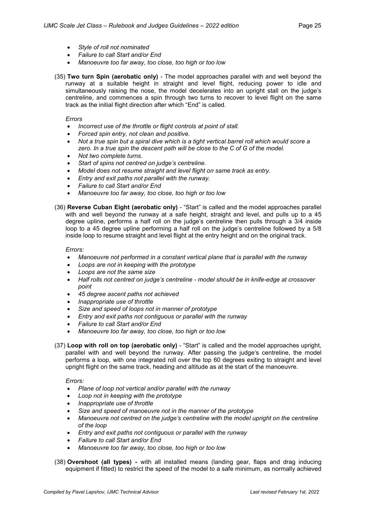- *Style of roll not nominated*
- *Failure to call Start and/or End*
- *Manoeuvre too far away, too close, too high or too low*
- (35) **Two turn Spin (aerobatic only)** The model approaches parallel with and well beyond the runway at a suitable height in straight and level flight, reducing power to idle and simultaneously raising the nose, the model decelerates into an upright stall on the judge's centreline, and commences a spin through two turns to recover to level flight on the same track as the initial flight direction after which "End" is called.

#### *Errors*

- *Incorrect use of the throttle or flight controls at point of stall.*
- *Forced spin entry, not clean and positive.*
- Not a true spin but a spiral dive which is a tight vertical barrel roll which would score a *zero. In a true spin the descent path will be close to the C of G of the model.*
- *Not two complete turns.*
- *Start of spins not centred on judge's centreline.*
- *Model does not resume straight and level flight on same track as entry.*
- *Entry and exit paths not parallel with the runway.*
- *Failure to call Start and/or End*
- *Manoeuvre too far away, too close, too high or too low*

#### (36) **Reverse Cuban Eight (aerobatic only)** - "Start" is called and the model approaches parallel

with and well beyond the runway at a safe height, straight and level, and pulls up to a 45 degree upline, performs a half roll on the judge's centreline then pulls through a 3/4 inside loop to a 45 degree upline performing a half roll on the judge's centreline followed by a 5/8 inside loop to resume straight and level flight at the entry height and on the original track.

#### *Errors:*

- *Manoeuvre not performed in a constant vertical plane that is parallel with the runway*
- *Loops are not in keeping with the prototype*
- *Loops are not the same size*
- *Half rolls not centred on judge's centreline - model should be in knife-edge at crossover point*
- *45 degree ascent paths not achieved*
- *Inappropriate use of throttle*
- *Size and speed of loops not in manner of prototype*
- *Entry and exit paths not contiguous or parallel with the runway*
- *Failure to call Start and/or End*
- *Manoeuvre too far away, too close, too high or too low*
- (37) **Loop with roll on top (aerobatic only)** "Start" is called and the model approaches upright, parallel with and well beyond the runway. After passing the judge's centreline, the model performs a loop, with one integrated roll over the top 60 degrees exiting to straight and level upright flight on the same track, heading and altitude as at the start of the manoeuvre.

- *Plane of loop not vertical and/or parallel with the runway*
- *Loop not in keeping with the prototype*
- *Inappropriate use of throttle*
- *Size and speed of manoeuvre not in the manner of the prototype*
- *Manoeuvre not centred on the judge's centreline with the model upright on the centreline of the loop*
- *Entry and exit paths not contiguous or parallel with the runway*
- *Failure to call Start and/or End*
- *Manoeuvre too far away, too close, too high or too low*
- (38) **Overshoot (all types) -** with all installed means (landing gear, flaps and drag inducing equipment if fitted) to restrict the speed of the model to a safe minimum, as normally achieved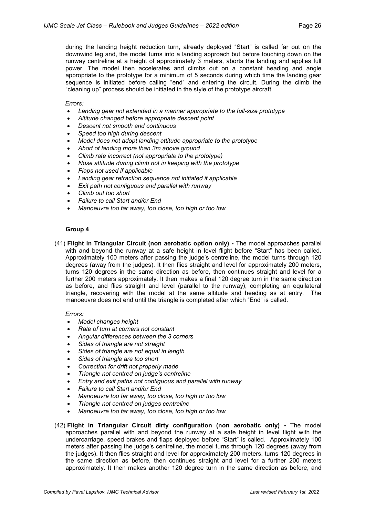during the landing height reduction turn, already deployed "Start" is called far out on the downwind leg and, the model turns into a landing approach but before touching down on the runway centreline at a height of approximately 3 meters, aborts the landing and applies full power. The model then accelerates and climbs out on a constant heading and angle appropriate to the prototype for a minimum of 5 seconds during which time the landing gear sequence is initiated before calling "end" and entering the circuit. During the climb the "cleaning up" process should be initiated in the style of the prototype aircraft.

#### *Errors:*

- *Landing gear not extended in a manner appropriate to the full-size prototype*
- *Altitude changed before appropriate descent point*
- *Descent not smooth and continuous*
- *Speed too high during descent*
- *Model does not adopt landing attitude appropriate to the prototype*
- *Abort of landing more than 3m above ground*
- *Climb rate incorrect (not appropriate to the prototype)*
- *Nose attitude during climb not in keeping with the prototype*
- *Flaps not used if applicable*
- *Landing gear retraction sequence not initiated if applicable*
- *Exit path not contiguous and parallel with runway*
- *Climb out too short*
- *Failure to call Start and/or End*
- *Manoeuvre too far away, too close, too high or too low*

#### **Group 4**

(41) **Flight in Triangular Circuit (non aerobatic option only) -** The model approaches parallel with and beyond the runway at a safe height in level flight before "Start" has been called. Approximately 100 meters after passing the judge's centreline, the model turns through 120 degrees (away from the judges). It then flies straight and level for approximately 200 meters, turns 120 degrees in the same direction as before, then continues straight and level for a further 200 meters approximately. It then makes a final 120 degree turn in the same direction as before, and flies straight and level (parallel to the runway), completing an equilateral triangle, recovering with the model at the same altitude and heading as at entry. The manoeuvre does not end until the triangle is completed after which "End" is called.

- *Model changes height*
- *Rate of turn at corners not constant*
- *Angular differences between the 3 corners*
- *Sides of triangle are not straight*
- *Sides of triangle are not equal in length*
- *Sides of triangle are too short*
- *Correction for drift not properly made*
- *Triangle not centred on judge's centreline*
- *Entry and exit paths not contiguous and parallel with runway*
- *Failure to call Start and/or End*
- *Manoeuvre too far away, too close, too high or too low*
- *Triangle not centred on judges centreline*
- *Manoeuvre too far away, too close, too high or too low*
- (42) **Flight in Triangular Circuit dirty configuration (non aerobatic only) -** The model approaches parallel with and beyond the runway at a safe height in level flight with the undercarriage, speed brakes and flaps deployed before "Start" is called. Approximately 100 meters after passing the judge's centreline, the model turns through 120 degrees (away from the judges). It then flies straight and level for approximately 200 meters, turns 120 degrees in the same direction as before, then continues straight and level for a further 200 meters approximately. It then makes another 120 degree turn in the same direction as before, and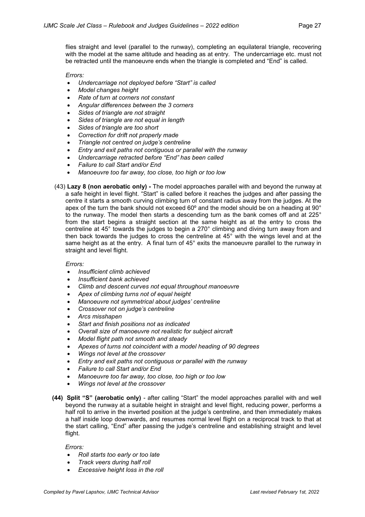flies straight and level (parallel to the runway), completing an equilateral triangle, recovering with the model at the same altitude and heading as at entry. The undercarriage etc. must not be retracted until the manoeuvre ends when the triangle is completed and "End" is called.

#### *Errors:*

- *Undercarriage not deployed before "Start" is called*
- *Model changes height*
- *Rate of turn at corners not constant*
- *Angular differences between the 3 corners*
- *Sides of triangle are not straight*
- *Sides of triangle are not equal in length*
- *Sides of triangle are too short*
- *Correction for drift not properly made*
- *Triangle not centred on judge's centreline*
- *Entry and exit paths not contiguous or parallel with the runway*
- *Undercarriage retracted before "End" has been called*
- *Failure to call Start and/or End*
- *Manoeuvre too far away, too close, too high or too low*
- (43) **Lazy 8 (non aerobatic only) -** The model approaches parallel with and beyond the runway at a safe height in level flight. "Start" is called before it reaches the judges and after passing the centre it starts a smooth curving climbing turn of constant radius away from the judges. At the apex of the turn the bank should not exceed 60º and the model should be on a heading at 90° to the runway. The model then starts a descending turn as the bank comes off and at 225° from the start begins a straight section at the same height as at the entry to cross the centreline at 45° towards the judges to begin a 270° climbing and diving turn away from and then back towards the judges to cross the centreline at 45° with the wings level and at the same height as at the entry. A final turn of 45° exits the manoeuvre parallel to the runway in straight and level flight.

#### *Errors:*

- *Insufficient climb achieved*
- *Insufficient bank achieved*
- *Climb and descent curves not equal throughout manoeuvre*
- *Apex of climbing turns not of equal height*
- *Manoeuvre not symmetrical about judges' centreline*
- *Crossover not on judge's centreline*
- *Arcs misshapen*
- *Start and finish positions not as indicated*
- *Overall size of manoeuvre not realistic for subject aircraft*
- *Model flight path not smooth and steady*
- *Apexes of turns not coincident with a model heading of 90 degrees*
- *Wings not level at the crossover*
- *Entry and exit paths not contiguous or parallel with the runway*
- *Failure to call Start and/or End*
- *Manoeuvre too far away, too close, too high or too low*
- *Wings not level at the crossover*
- **(44) Split "S" (aerobatic only)** after calling "Start" the model approaches parallel with and well beyond the runway at a suitable height in straight and level flight, reducing power, performs a half roll to arrive in the inverted position at the judge's centreline, and then immediately makes a half inside loop downwards, and resumes normal level flight on a reciprocal track to that at the start calling, "End" after passing the judge's centreline and establishing straight and level flight.

- *Roll starts too early or too late*
- *Track veers during half roll*
- *Excessive height loss in the roll*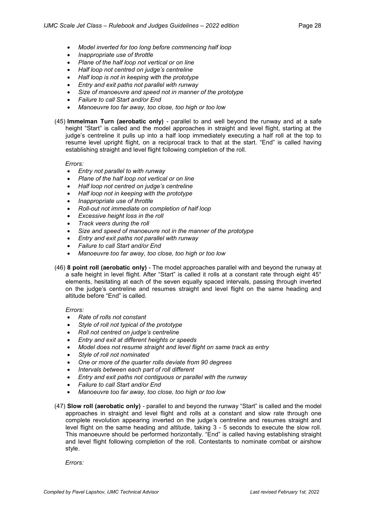- *Model inverted for too long before commencing half loop*
- *Inappropriate use of throttle*
- *Plane of the half loop not vertical or on line*
- *Half loop not centred on judge's centreline*
- *Half loop is not in keeping with the prototype*
- *Entry and exit paths not parallel with runway*
- *Size of manoeuvre and speed not in manner of the prototype*
- *Failure to call Start and/or End*
- *Manoeuvre too far away, too close, too high or too low*
- (45) **Immelman Turn (aerobatic only)** parallel to and well beyond the runway and at a safe height "Start" is called and the model approaches in straight and level flight, starting at the judge's centreline it pulls up into a half loop immediately executing a half roll at the top to resume level upright flight, on a reciprocal track to that at the start. "End" is called having establishing straight and level flight following completion of the roll.

#### *Errors:*

- *Entry not parallel to with runway*
- *Plane of the half loop not vertical or on line*
- *Half loop not centred on judge's centreline*
- *Half loop not in keeping with the prototype*
- *Inappropriate use of throttle*
- *Roll-out not immediate on completion of half loop*
- *Excessive height loss in the roll*
- *Track veers during the roll*
- *Size and speed of manoeuvre not in the manner of the prototype*
- *Entry and exit paths not parallel with runway*
- *Failure to call Start and/or End*
- *Manoeuvre too far away, too close, too high or too low*
- (46) **8 point roll (aerobatic only)** The model approaches parallel with and beyond the runway at a safe height in level flight. After "Start" is called it rolls at a constant rate through eight 45° elements, hesitating at each of the seven equally spaced intervals, passing through inverted on the judge's centreline and resumes straight and level flight on the same heading and altitude before "End" is called.

#### *Errors:*

- *Rate of rolls not constant*
- *Style of roll not typical of the prototype*
- *Roll not centred on judge's centreline*
- *Entry and exit at different heights or speeds*
- *Model does not resume straight and level flight on same track as entry*
- *Style of roll not nominated*
- *One or more of the quarter rolls deviate from 90 degrees*
- *Intervals between each part of roll different*
- *Entry and exit paths not contiguous or parallel with the runway*
- *Failure to call Start and/or End*
- *Manoeuvre too far away, too close, too high or too low*
- (47) **Slow roll (aerobatic only)** parallel to and beyond the runway "Start" is called and the model approaches in straight and level flight and rolls at a constant and slow rate through one complete revolution appearing inverted on the judge's centreline and resumes straight and level flight on the same heading and altitude, taking 3 - 5 seconds to execute the slow roll. This manoeuvre should be performed horizontally. "End" is called having establishing straight and level flight following completion of the roll. Contestants to nominate combat or airshow style.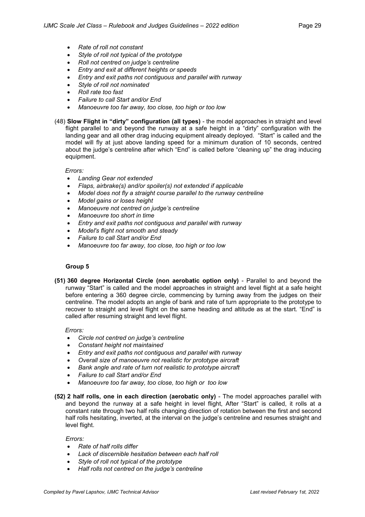- *Rate of roll not constant*
- *Style of roll not typical of the prototype*
- *Roll not centred on judge's centreline*
- *Entry and exit at different heights or speeds*
- *Entry and exit paths not contiguous and parallel with runway*
- *Style of roll not nominated*
- *Roll rate too fast*
- *Failure to call Start and/or End*
- *Manoeuvre too far away, too close, too high or too low*

(48) **Slow Flight in "dirty" configuration (all types)** - the model approaches in straight and level flight parallel to and beyond the runway at a safe height in a "dirty" configuration with the landing gear and all other drag inducing equipment already deployed. "Start" is called and the model will fly at just above landing speed for a minimum duration of 10 seconds, centred about the judge's centreline after which "End" is called before "cleaning up" the drag inducing equipment.

#### *Errors:*

- *Landing Gear not extended*
- *Flaps, airbrake(s) and/or spoiler(s) not extended if applicable*
- *Model does not fly a straight course parallel to the runway centreline*
- *Model gains or loses height*
- *Manoeuvre not centred on judge's centreline*
- *Manoeuvre too short in time*
- *Entry and exit paths not contiguous and parallel with runway*
- *Model's flight not smooth and steady*
- *Failure to call Start and/or End*
- *Manoeuvre too far away, too close, too high or too low*

#### **Group 5**

**(51) 360 degree Horizontal Circle (non aerobatic option only)** - Parallel to and beyond the runway "Start" is called and the model approaches in straight and level flight at a safe height before entering a 360 degree circle, commencing by turning away from the judges on their centreline. The model adopts an angle of bank and rate of turn appropriate to the prototype to recover to straight and level flight on the same heading and altitude as at the start. "End" is called after resuming straight and level flight.

#### *Errors:*

- *Circle not centred on judge's centreline*
- *Constant height not maintained*
- *Entry and exit paths not contiguous and parallel with runway*
- *Overall size of manoeuvre not realistic for prototype aircraft*
- *Bank angle and rate of turn not realistic to prototype aircraft*
- *Failure to call Start and/or End*
- *Manoeuvre too far away, too close, too high or too low*
- **(52) 2 half rolls, one in each direction (aerobatic only)** The model approaches parallel with and beyond the runway at a safe height in level flight, After "Start" is called, it rolls at a constant rate through two half rolls changing direction of rotation between the first and second half rolls hesitating, inverted, at the interval on the judge's centreline and resumes straight and level flight.

- *Rate of half rolls differ*
- *Lack of discernible hesitation between each half roll*
- *Style of roll not typical of the prototype*
- *Half rolls not centred on the judge's centreline*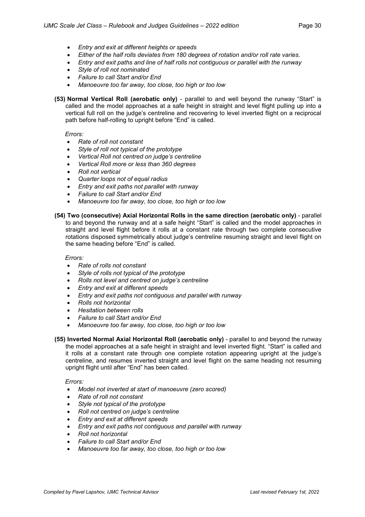- *Entry and exit at different heights or speeds*
- *Either of the half rolls deviates from 180 degrees of rotation and/or roll rate varies.*
- *Entry and exit paths and line of half rolls not contiguous or parallel with the runway*
- *Style of roll not nominated*
- *Failure to call Start and/or End*
- *Manoeuvre too far away, too close, too high or too low*

**(53) Normal Vertical Roll (aerobatic only)** - parallel to and well beyond the runway "Start" is called and the model approaches at a safe height in straight and level flight pulling up into a vertical full roll on the judge's centreline and recovering to level inverted flight on a reciprocal path before half-rolling to upright before "End" is called.

*Errors:*

- *Rate of roll not constant*
- *Style of roll not typical of the prototype*
- *Vertical Roll not centred on judge's centreline*
- *Vertical Roll more or less than 360 degrees*
- *Roll not vertical*
- *Quarter loops not of equal radius*
- *Entry and exit paths not parallel with runway*
- *Failure to call Start and/or End*
- *Manoeuvre too far away, too close, too high or too low*
- **(54) Two (consecutive) Axial Horizontal Rolls in the same direction (aerobatic only)** parallel to and beyond the runway and at a safe height "Start" is called and the model approaches in straight and level flight before it rolls at a constant rate through two complete consecutive rotations disposed symmetrically about judge's centreline resuming straight and level flight on the same heading before "End" is called.

*Errors:*

- *Rate of rolls not constant*
- *Style of rolls not typical of the prototype*
- *Rolls not level and centred on judge's centreline*
- *Entry and exit at different speeds*
- *Entry and exit paths not contiguous and parallel with runway*
- *Rolls not horizontal*
- *Hesitation between rolls*
- *Failure to call Start and/or End*
- *Manoeuvre too far away, too close, too high or too low*
- **(55) Inverted Normal Axial Horizontal Roll (aerobatic only)** parallel to and beyond the runway the model approaches at a safe height in straight and level inverted flight. "Start" is called and it rolls at a constant rate through one complete rotation appearing upright at the judge's centreline, and resumes inverted straight and level flight on the same heading not resuming upright flight until after "End" has been called.

- *Model not inverted at start of manoeuvre (zero scored)*
- *Rate of roll not constant*
- *Style not typical of the prototype*
- *Roll not centred on judge's centreline*
- *Entry and exit at different speeds*
- *Entry and exit paths not contiguous and parallel with runway*
- *Roll not horizontal*
- *Failure to call Start and/or End*
- *Manoeuvre too far away, too close, too high or too low*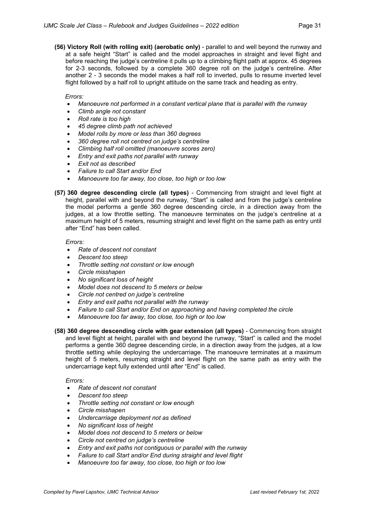**(56) Victory Roll (with rolling exit) (aerobatic only)** - parallel to and well beyond the runway and at a safe height "Start" is called and the model approaches in straight and level flight and before reaching the judge's centreline it pulls up to a climbing flight path at approx. 45 degrees for 2-3 seconds, followed by a complete 360 degree roll on the judge's centreline. After another 2 - 3 seconds the model makes a half roll to inverted, pulls to resume inverted level flight followed by a half roll to upright attitude on the same track and heading as entry.

#### *Errors:*

- *Manoeuvre not performed in a constant vertical plane that is parallel with the runway*
- *Climb angle not constant*
- *Roll rate is too high*
- *45 degree climb path not achieved*
- *Model rolls by more or less than 360 degrees*
- *360 degree roll not centred on judge's centreline*
- *Climbing half roll omitted (manoeuvre scores zero)*
- *Entry and exit paths not parallel with runway*
- *Exit not as described*
- *Failure to call Start and/or End*
- *Manoeuvre too far away, too close, too high or too low*
- **(57) 360 degree descending circle (all types)** Commencing from straight and level flight at height, parallel with and beyond the runway, "Start" is called and from the judge's centreline the model performs a gentle 360 degree descending circle, in a direction away from the judges, at a low throttle setting. The manoeuvre terminates on the judge's centreline at a maximum height of 5 meters, resuming straight and level flight on the same path as entry until after "End" has been called.

#### *Errors:*

- *Rate of descent not constant*
- *Descent too steep*
- *Throttle setting not constant or low enough*
- *Circle misshapen*
- *No significant loss of height*
- *Model does not descend to 5 meters or below*
- *Circle not centred on judge's centreline*
- *Entry and exit paths not parallel with the runway*
- *Failure to call Start and/or End on approaching and having completed the circle*
- *Manoeuvre too far away, too close, too high or too low*
- **(58) 360 degree descending circle with gear extension (all types)** Commencing from straight and level flight at height, parallel with and beyond the runway, "Start" is called and the model performs a gentle 360 degree descending circle, in a direction away from the judges, at a low throttle setting while deploying the undercarriage. The manoeuvre terminates at a maximum height of 5 meters, resuming straight and level flight on the same path as entry with the undercarriage kept fully extended until after "End" is called.

- *Rate of descent not constant*
- *Descent too steep*
- *Throttle setting not constant or low enough*
- *Circle misshapen*
- *Undercarriage deployment not as defined*
- *No significant loss of height*
- *Model does not descend to 5 meters or below*
- *Circle not centred on judge's centreline*
- *Entry and exit paths not contiguous or parallel with the runway*
- *Failure to call Start and/or End during straight and level flight*
- *Manoeuvre too far away, too close, too high or too low*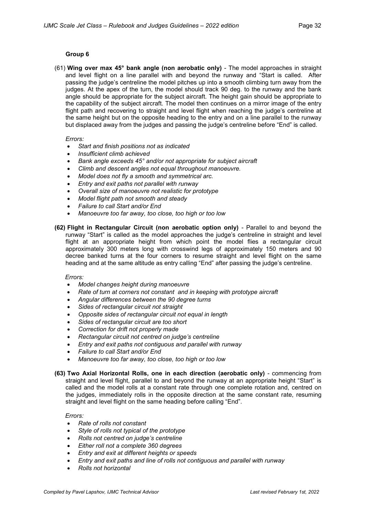#### **Group 6**

(61) **Wing over max 45° bank angle (non aerobatic only)** - The model approaches in straight and level flight on a line parallel with and beyond the runway and "Start is called. After passing the judge's centreline the model pitches up into a smooth climbing turn away from the judges. At the apex of the turn, the model should track 90 deg. to the runway and the bank angle should be appropriate for the subject aircraft. The height gain should be appropriate to the capability of the subject aircraft. The model then continues on a mirror image of the entry flight path and recovering to straight and level flight when reaching the judge's centreline at the same height but on the opposite heading to the entry and on a line parallel to the runway but displaced away from the judges and passing the judge's centreline before "End" is called.

#### *Errors:*

- *Start and finish positions not as indicated*
- *Insufficient climb achieved*
- *Bank angle exceeds 45° and/or not appropriate for subject aircraft*
- *Climb and descent angles not equal throughout manoeuvre.*
- *Model does not fly a smooth and symmetrical arc.*
- *Entry and exit paths not parallel with runway*
- *Overall size of manoeuvre not realistic for prototype*
- *Model flight path not smooth and steady*
- *Failure to call Start and/or End*
- *Manoeuvre too far away, too close, too high or too low*
- **(62) Flight in Rectangular Circuit (non aerobatic option only)** Parallel to and beyond the runway "Start" is called as the model approaches the judge's centreline in straight and level flight at an appropriate height from which point the model flies a rectangular circuit approximately 300 meters long with crosswind legs of approximately 150 meters and 90 decree banked turns at the four corners to resume straight and level flight on the same heading and at the same altitude as entry calling "End" after passing the judge's centreline.

#### *Errors:*

- *Model changes height during manoeuvre*
- *Rate of turn at corners not constant and in keeping with prototype aircraft*
- *Angular differences between the 90 degree turns*
- *Sides of rectangular circuit not straight*
- *Opposite sides of rectangular circuit not equal in length*
- *Sides of rectangular circuit are too short*
- *Correction for drift not properly made*
- *Rectangular circuit not centred on judge's centreline*
- *Entry and exit paths not contiguous and parallel with runway*
- *Failure to call Start and/or End*
- *Manoeuvre too far away, too close, too high or too low*
- **(63) Two Axial Horizontal Rolls, one in each direction (aerobatic only)** commencing from straight and level flight, parallel to and beyond the runway at an appropriate height "Start" is called and the model rolls at a constant rate through one complete rotation and, centred on the judges, immediately rolls in the opposite direction at the same constant rate, resuming straight and level flight on the same heading before calling "End".

- *Rate of rolls not constant*
- *Style of rolls not typical of the prototype*
- *Rolls not centred on judge's centreline*
- *Either roll not a complete 360 degrees*
- *Entry and exit at different heights or speeds*
- *Entry and exit paths and line of rolls not contiguous and parallel with runway*
- *Rolls not horizontal*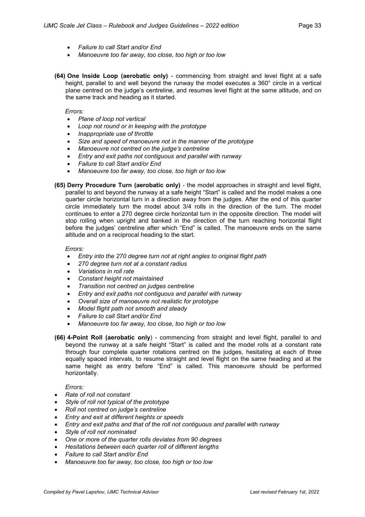- *Failure to call Start and/or End*
- *Manoeuvre too far away, too close, too high or too low*
- **(64) One Inside Loop (aerobatic only)** commencing from straight and level flight at a safe height, parallel to and well beyond the runway the model executes a 360° circle in a vertical plane centred on the judge's centreline, and resumes level flight at the same altitude, and on the same track and heading as it started.

*Errors:*

- *Plane of loop not vertical*
- *Loop not round or in keeping with the prototype*
- *Inappropriate use of throttle*
- *Size and speed of manoeuvre not in the manner of the prototype*
- *Manoeuvre not centred on the judge's centreline*
- *Entry and exit paths not contiguous and parallel with runway*
- *Failure to call Start and/or End*
- *Manoeuvre too far away, too close, too high or too low*
- **(65) Derry Procedure Turn (aerobatic only)** the model approaches in straight and level flight, parallel to and beyond the runway at a safe height "Start" is called and the model makes a one quarter circle horizontal turn in a direction away from the judges. After the end of this quarter circle immediately turn the model about 3/4 rolls in the direction of the turn. The model continues to enter a 270 degree circle horizontal turn in the opposite direction. The model will stop rolling when upright and banked in the direction of the turn reaching horizontal flight before the judges' centreline after which "End" is called. The manoeuvre ends on the same altitude and on a reciprocal heading to the start.

#### *Errors:*

- *Entry into the 270 degree turn not at right angles to original flight path*
- *270 degree turn not at a constant radius*
- *Variations in roll rate*
- *Constant height not maintained*
- *Transition not centred on judges centreline*
- *Entry and exit paths not contiguous and parallel with runway*
- *Overall size of manoeuvre not realistic for prototype*
- *Model flight path not smooth and steady*
- *Failure to call Start and/or End*
- *Manoeuvre too far away, too close, too high or too low*
- **(66) 4-Point Roll (aerobatic only**) commencing from straight and level flight, parallel to and beyond the runway at a safe height "Start" is called and the model rolls at a constant rate through four complete quarter rotations centred on the judges, hesitating at each of three equally spaced intervals, to resume straight and level flight on the same heading and at the same height as entry before "End" is called. This manoeuvre should be performed horizontally.

- *Rate of roll not constant*
- *Style of roll not typical of the prototype*
- *Roll not centred on judge's centreline*
- *Entry and exit at different heights or speeds*
- *Entry and exit paths and that of the roll not contiguous and parallel with runway*
- *Style of roll not nominated*
- *One or more of the quarter rolls deviates from 90 degrees*
- *Hesitations between each quarter roll of different lengths*
- *Failure to call Start and/or End*
- *Manoeuvre too far away, too close, too high or too low*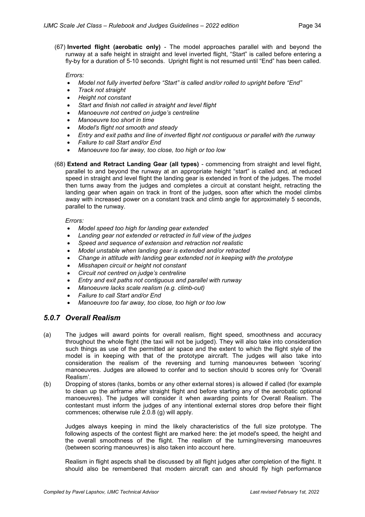(67) **Inverted flight (aerobatic only)** - The model approaches parallel with and beyond the runway at a safe height in straight and level inverted flight, "Start" is called before entering a fly-by for a duration of 5-10 seconds. Upright flight is not resumed until "End" has been called.

#### *Errors:*

- *Model not fully inverted before "Start" is called and/or rolled to upright before "End"*
- *Track not straight*
- *Height not constant*
- *Start and finish not called in straight and level flight*
- *Manoeuvre not centred on judge's centreline*
- *Manoeuvre too short in time*
- *Model's flight not smooth and steady*
- *Entry and exit paths and line of inverted flight not contiguous or parallel with the runway*
- *Failure to call Start and/or End*
- *Manoeuvre too far away, too close, too high or too low*

(68) **Extend and Retract Landing Gear (all types)** - commencing from straight and level flight, parallel to and beyond the runway at an appropriate height "start" is called and, at reduced speed in straight and level flight the landing gear is extended in front of the judges. The model then turns away from the judges and completes a circuit at constant height, retracting the landing gear when again on track in front of the judges, soon after which the model climbs away with increased power on a constant track and climb angle for approximately 5 seconds, parallel to the runway.

#### *Errors:*

- *Model speed too high for landing gear extended*
- *Landing gear not extended or retracted in full view of the judges*
- *Speed and sequence of extension and retraction not realistic*
- *Model unstable when landing gear is extended and/or retracted*
- *Change in attitude with landing gear extended not in keeping with the prototype*
- *Misshapen circuit or height not constant*
- *Circuit not centred on judge's centreline*
- *Entry and exit paths not contiguous and parallel with runway*
- *Manoeuvre lacks scale realism (e.g. climb-out)*
- *Failure to call Start and/or End*
- *Manoeuvre too far away, too close, too high or too low*

#### *5.0.7 Overall Realism*

- (a) The judges will award points for overall realism, flight speed, smoothness and accuracy throughout the whole flight (the taxi will not be judged). They will also take into consideration such things as use of the permitted air space and the extent to which the flight style of the model is in keeping with that of the prototype aircraft. The judges will also take into consideration the realism of the reversing and turning manoeuvres between 'scoring' manoeuvres. Judges are allowed to confer and to section should b scores only for 'Overall Realism'.
- (b) Dropping of stores (tanks, bombs or any other external stores) is allowed if called (for example to clean up the airframe after straight flight and before starting any of the aerobatic optional manoeuvres). The judges will consider it when awarding points for Overall Realism. The contestant must inform the judges of any intentional external stores drop before their flight commences; otherwise rule 2.0.8 (g) will apply.

Judges always keeping in mind the likely characteristics of the full size prototype. The following aspects of the contest flight are marked here: the jet model's speed, the height and the overall smoothness of the flight. The realism of the turning/reversing manoeuvres (between scoring manoeuvres) is also taken into account here.

Realism in flight aspects shall be discussed by all flight judges after completion of the flight. It should also be remembered that modern aircraft can and should fly high performance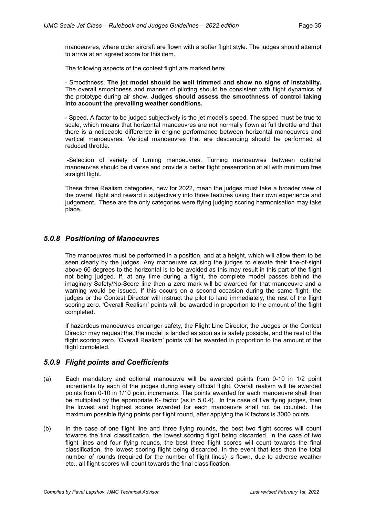manoeuvres, where older aircraft are flown with a softer flight style. The judges should attempt to arrive at an agreed score for this item.

The following aspects of the contest flight are marked here:

- Smoothness. **The jet model should be well trimmed and show no signs of instability.** The overall smoothness and manner of piloting should be consistent with flight dynamics of the prototype during air show. **Judges should assess the smoothness of control taking into account the prevailing weather conditions.**

- Speed. A factor to be judged subjectively is the jet model's speed. The speed must be true to scale, which means that horizontal manoeuvres are not normally flown at full throttle and that there is a noticeable difference in engine performance between horizontal manoeuvres and vertical manoeuvres. Vertical manoeuvres that are descending should be performed at reduced throttle.

-Selection of variety of turning manoeuvres. Turning manoeuvres between optional manoeuvres should be diverse and provide a better flight presentation at all with minimum free straight flight.

These three Realism categories, new for 2022, mean the judges must take a broader view of the overall flight and reward it subjectively into three features using their own experience and judgement. These are the only categories were flying judging scoring harmonisation may take place.

#### *5.0.8 Positioning of Manoeuvres*

The manoeuvres must be performed in a position, and at a height, which will allow them to be seen clearly by the judges. Any manoeuvre causing the judges to elevate their line-of-sight above 60 degrees to the horizontal is to be avoided as this may result in this part of the flight not being judged. If, at any time during a flight, the complete model passes behind the imaginary Safety/No-Score line then a zero mark will be awarded for that manoeuvre and a warning would be issued. If this occurs on a second occasion during the same flight, the judges or the Contest Director will instruct the pilot to land immediately, the rest of the flight scoring zero. 'Overall Realism' points will be awarded in proportion to the amount of the flight completed.

If hazardous manoeuvres endanger safety, the Flight Line Director, the Judges or the Contest Director may request that the model is landed as soon as is safely possible, and the rest of the flight scoring zero. 'Overall Realism' points will be awarded in proportion to the amount of the flight completed.

#### *5.0.9 Flight points and Coefficients*

- (a) Each mandatory and optional manoeuvre will be awarded points from 0-10 in 1/2 point increments by each of the judges during every official flight. Overall realism will be awarded points from 0-10 in 1/10 point increments. The points awarded for each manoeuvre shall then be multiplied by the appropriate K- factor (as in 5.0.4). In the case of five flying judges, then the lowest and highest scores awarded for each manoeuvre shall not be counted. The maximum possible flying points per flight round, after applying the K factors is 3000 points.
- (b) In the case of one flight line and three flying rounds, the best two flight scores will count towards the final classification, the lowest scoring flight being discarded. In the case of two flight lines and four flying rounds, the best three flight scores will count towards the final classification, the lowest scoring flight being discarded. In the event that less than the total number of rounds (required for the number of flight lines) is flown, due to adverse weather etc., all flight scores will count towards the final classification.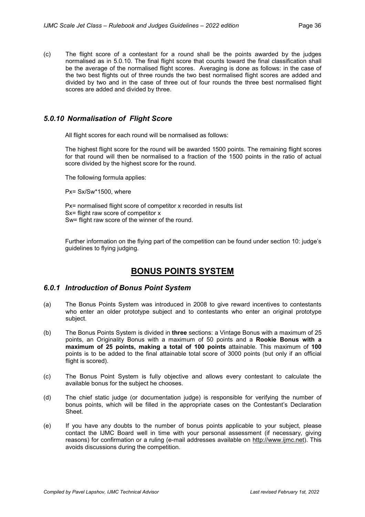(c) The flight score of a contestant for a round shall be the points awarded by the judges normalised as in 5.0.10. The final flight score that counts toward the final classification shall be the average of the normalised flight scores. Averaging is done as follows: in the case of the two best flights out of three rounds the two best normalised flight scores are added and divided by two and in the case of three out of four rounds the three best normalised flight scores are added and divided by three.

#### *5.0.10 Normalisation of Flight Score*

All flight scores for each round will be normalised as follows:

The highest flight score for the round will be awarded 1500 points. The remaining flight scores for that round will then be normalised to a fraction of the 1500 points in the ratio of actual score divided by the highest score for the round.

The following formula applies:

Px= Sx/Sw\*1500, where

Px= normalised flight score of competitor x recorded in results list Sx= flight raw score of competitor x Sw= flight raw score of the winner of the round.

Further information on the flying part of the competition can be found under section 10: judge's guidelines to flying judging.

# **BONUS POINTS SYSTEM**

#### *6.0.1 Introduction of Bonus Point System*

- (a) The Bonus Points System was introduced in 2008 to give reward incentives to contestants who enter an older prototype subject and to contestants who enter an original prototype subject.
- (b) The Bonus Points System is divided in **three** sections: a Vintage Bonus with a maximum of 25 points, an Originality Bonus with a maximum of 50 points and a **Rookie Bonus with a maximum of 25 points, making a total of 100 points** attainable. This maximum of **100** points is to be added to the final attainable total score of 3000 points (but only if an official flight is scored).
- (c) The Bonus Point System is fully objective and allows every contestant to calculate the available bonus for the subject he chooses.
- (d) The chief static judge (or documentation judge) is responsible for verifying the number of bonus points, which will be filled in the appropriate cases on the Contestant's Declaration Sheet.
- (e) If you have any doubts to the number of bonus points applicable to your subject, please contact the IJMC Board well in time with your personal assessment (if necessary, giving reasons) for confirmation or a ruling (e-mail addresses available on [http://www.ijmc.net\)](http://www.ijmc.net/). This avoids discussions during the competition.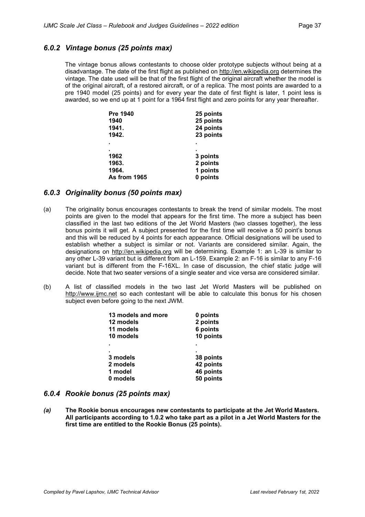#### *6.0.2 Vintage bonus (25 points max)*

The vintage bonus allows contestants to choose older prototype subjects without being at a disadvantage. The date of the first flight as published on [http://en.wikipedia.org](http://en.wikipedia.org/) determines the vintage. The date used will be that of the first flight of the original aircraft whether the model is of the original aircraft, of a restored aircraft, or of a replica. The most points are awarded to a pre 1940 model (25 points) and for every year the date of first flight is later, 1 point less is awarded, so we end up at 1 point for a 1964 first flight and zero points for any year thereafter.

| 25 points |
|-----------|
| 25 points |
| 24 points |
| 23 points |
|           |
|           |
| 3 points  |
| 2 points  |
| 1 points  |
| 0 points  |
|           |

#### *6.0.3 Originality bonus (50 points max)*

- (a) The originality bonus encourages contestants to break the trend of similar models. The most points are given to the model that appears for the first time. The more a subject has been classified in the last two editions of the Jet World Masters (two classes together), the less bonus points it will get. A subject presented for the first time will receive a 50 point's bonus and this will be reduced by 4 points for each appearance. Official designations will be used to establish whether a subject is similar or not. Variants are considered similar. Again, the designations on [http://en.wikipedia.org](http://en.wikipedia.org/) will be determining. Example 1: an L-39 is similar to any other L-39 variant but is different from an L-159. Example 2: an F-16 is similar to any F-16 variant but is different from the F-16XL. In case of discussion, the chief static judge will decide. Note that two seater versions of a single seater and vice versa are considered similar.
- (b) A list of classified models in the two last Jet World Masters will be published on [http://www.ijmc.net](http://www.ijmc.net/) so each contestant will be able to calculate this bonus for his chosen subject even before going to the next JWM.

| 0 points  |
|-----------|
| 2 points  |
| 6 points  |
| 10 points |
|           |
|           |
| 38 points |
| 42 points |
| 46 points |
| 50 points |
|           |

#### *6.0.4 Rookie bonus (25 points max)*

*(a)* **The Rookie bonus encourages new contestants to participate at the Jet World Masters. All participants according to 1.0.2 who take part as a pilot in a Jet World Masters for the first time are entitled to the Rookie Bonus (25 points).**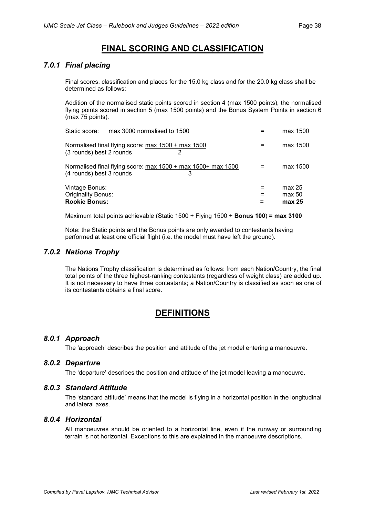# **FINAL SCORING AND CLASSIFICATION**

#### *7.0.1 Final placing*

Final scores, classification and places for the 15.0 kg class and for the 20.0 kg class shall be determined as follows:

Addition of the normalised static points scored in section 4 (max 1500 points), the normalised flying points scored in section 5 (max 1500 points) and the Bonus System Points in section 6 (max 75 points).

| Vintage Bonus:<br>Originality Bonus:<br><b>Rookie Bonus:</b>                                  | max 25<br>max 50<br>max 25 |
|-----------------------------------------------------------------------------------------------|----------------------------|
| Normalised final flying score: max 1500 + max 1500+ max 1500<br>(4 rounds) best 3 rounds<br>3 | max 1500                   |
| Normalised final flying score: max 1500 + max 1500<br>(3 rounds) best 2 rounds                | max 1500                   |
| Static score:<br>max 3000 normalised to 1500                                                  | max 1500                   |

Maximum total points achievable (Static 1500 + Flying 1500 + **Bonus 100**) **= max 3100**

Note: the Static points and the Bonus points are only awarded to contestants having performed at least one official flight (i.e. the model must have left the ground).

#### *7.0.2 Nations Trophy*

The Nations Trophy classification is determined as follows: from each Nation/Country, the final total points of the three highest-ranking contestants (regardless of weight class) are added up. It is not necessary to have three contestants; a Nation/Country is classified as soon as one of its contestants obtains a final score.

## **DEFINITIONS**

#### *8.0.1 Approach*

The 'approach' describes the position and attitude of the jet model entering a manoeuvre.

#### *8.0.2 Departure*

The 'departure' describes the position and attitude of the jet model leaving a manoeuvre.

#### *8.0.3 Standard Attitude*

The 'standard attitude' means that the model is flying in a horizontal position in the longitudinal and lateral axes.

#### *8.0.4 Horizontal*

All manoeuvres should be oriented to a horizontal line, even if the runway or surrounding terrain is not horizontal. Exceptions to this are explained in the manoeuvre descriptions.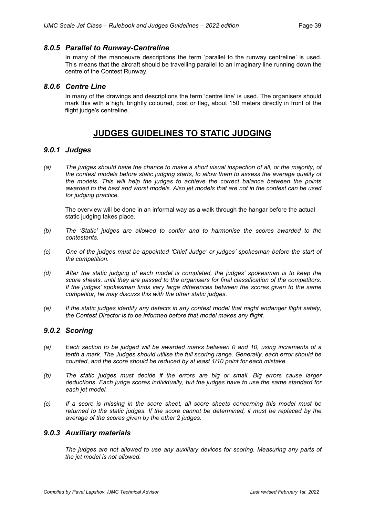#### *8.0.5 Parallel to Runway-Centreline*

In many of the manoeuvre descriptions the term 'parallel to the runway centreline' is used. This means that the aircraft should be travelling parallel to an imaginary line running down the centre of the Contest Runway.

#### *8.0.6 Centre Line*

In many of the drawings and descriptions the term 'centre line' is used. The organisers should mark this with a high, brightly coloured, post or flag, about 150 meters directly in front of the flight judge's centreline.

# **JUDGES GUIDELINES TO STATIC JUDGING**

#### *9.0.1 Judges*

(a) The judges should have the chance to make a short visual inspection of all, or the majority, of *the contest models before static judging starts, to allow them to assess the average quality of the models. This will help the judges to achieve the correct balance between the points* awarded to the best and worst models. Also jet models that are not in the contest can be used *for judging practice.*

The overview will be done in an informal way as a walk through the hangar before the actual static judging takes place.

- *(b) The 'Static' judges are allowed to confer and to harmonise the scores awarded to the contestants.*
- *(c) One of the judges must be appointed 'Chief Judge' or judges' spokesman before the start of the competition.*
- *(d) After the static judging of each model is completed, the judges' spokesman is to keep the score sheets, until they are passed to the organisers for final classification of the competitors. If the judges' spokesman finds very large differences between the scores given to the same competitor, he may discuss this with the other static judges.*
- *(e) If the static judges identify any defects in any contest model that might endanger flight safety, the Contest Director is to be informed before that model makes any flight.*

#### *9.0.2 Scoring*

- *(a) Each section to be judged will be awarded marks between 0 and 10, using increments of a tenth a mark. The Judges should utilise the full scoring range. Generally, each error should be counted, and the score should be reduced by at least 1/10 point for each mistake.*
- *(b) The static judges must decide if the errors are big or small. Big errors cause larger deductions. Each judge scores individually, but the judges have to use the same standard for each jet model.*
- *(c) If a score is missing in the score sheet, all score sheets concerning this model must be returned to the static judges. If the score cannot be determined, it must be replaced by the average of the scores given by the other 2 judges.*

#### *9.0.3 Auxiliary materials*

*The judges are not allowed to use any auxiliary devices for scoring. Measuring any parts of the jet model is not allowed.*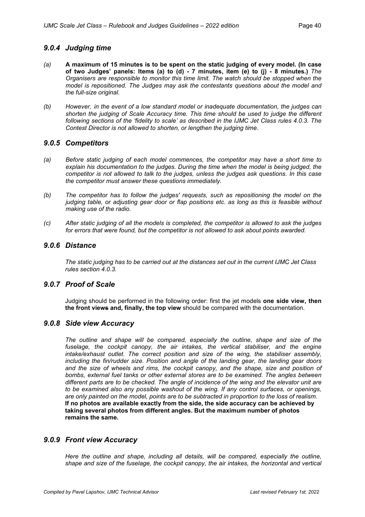#### *9.0.4 Judging time*

- *(a)* **A maximum of 15 minutes is to be spent on the static judging of every model. (In case of two Judges' panels: Items (a) to (d) - 7 minutes, item (e) to (j) - 8 minutes.)** *The Organisers are responsible to monitor this time limit. The watch should be stopped when the model is repositioned. The Judges may ask the contestants questions about the model and the full-size original.*
- *(b) However, in the event of a low standard model or inadequate documentation, the judges can shorten the judging of Scale Accuracy time. This time should be used to judge the different following sections of the 'fidelity to scale' as described in the IJMC Jet Class rules 4.0.3. The Contest Director is not allowed to shorten, or lengthen the judging time.*

#### *9.0.5 Competitors*

- *(a) Before static judging of each model commences, the competitor may have a short time to explain his documentation to the judges. During the time when the model is being judged, the competitor is not allowed to talk to the judges, unless the judges ask questions. In this case the competitor must answer these questions immediately.*
- *(b) The competitor has to follow the judges' requests, such as repositioning the model on the judging table, or adjusting gear door or flap positions etc. as long as this is feasible without making use of the radio.*
- (c) After static judging of all the models is completed, the competitor is allowed to ask the judges *for errors that were found, but the competitor is not allowed to ask about points awarded.*

#### *9.0.6 Distance*

The static judging has to be carried out at the distances set out in the current IJMC Jet Class *rules section 4.0.3.*

#### *9.0.7 Proof of Scale*

Judging should be performed in the following order: first the jet models **one side view, then the front views and, finally, the top view** should be compared with the documentation.

#### *9.0.8 Side view Accuracy*

*The outline and shape will be compared, especially the outline, shape and size of the fuselage, the cockpit canopy, the air intakes, the vertical stabiliser, and the engine intake/exhaust outlet. The correct position and size of the wing, the stabiliser assembly, including the fin/rudder size. Position and angle of the landing gear, the landing gear doors and the size of wheels and rims, the cockpit canopy, and the shape, size and position of bombs, external fuel tanks or other external stores are to be examined. The angles between different parts are to be checked. The angle of incidence of the wing and the elevator unit are to be examined also any possible washout of the wing. If any control surfaces, or openings, are only painted on the model, points are to be subtracted in proportion to the loss of realism.* **If no photos are available exactly from the side, the side accuracy can be achieved by taking several photos from different angles. But the maximum number of photos remains the same.**

#### *9.0.9 Front view Accuracy*

*Here the outline and shape, including all details, will be compared, especially the outline, shape and size of the fuselage, the cockpit canopy, the air intakes, the horizontal and vertical*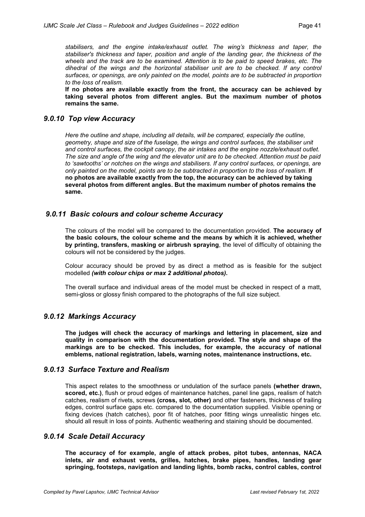*stabilisers, and the engine intake/exhaust outlet. The wing's thickness and taper, the stabiliser's thickness and taper, position and angle of the landing gear, the thickness of the wheels and the track are to be examined. Attention is to be paid to speed brakes, etc. The dihedral of the wings and the horizontal stabiliser unit are to be checked. If any control surfaces, or openings, are only painted on the model, points are to be subtracted in proportion to the loss of realism.*

**If no photos are available exactly from the front, the accuracy can be achieved by taking several photos from different angles. But the maximum number of photos remains the same.**

#### *9.0.10 Top view Accuracy*

*Here the outline and shape, including all details, will be compared, especially the outline, geometry, shape and size of the fuselage, the wings and control surfaces, the stabiliser unit and control surfaces, the cockpit canopy, the air intakes and the engine nozzle/exhaust outlet.* The size and angle of the wing and the elevator unit are to be checked. Attention must be paid *to 'sawtooths' or notches on the wings and stabilisers. If any control surfaces, or openings, are only painted on the model, points are to be subtracted in proportion to the loss of realism.* **If no photos are available exactly from the top, the accuracy can be achieved by taking several photos from different angles. But the maximum number of photos remains the same.**

#### *9.0.11 Basic colours and colour scheme Accuracy*

The colours of the model will be compared to the documentation provided. **The accuracy of the basic colours, the colour scheme and the means by which it is achieved, whether by printing, transfers, masking or airbrush spraying**, the level of difficulty of obtaining the colours will not be considered by the judges.

Colour accuracy should be proved by as direct a method as is feasible for the subject modelled *(with colour chips or max 2 additional photos)***.**

The overall surface and individual areas of the model must be checked in respect of a matt, semi-gloss or glossy finish compared to the photographs of the full size subject.

#### *9.0.12 Markings Accuracy*

**The judges will check the accuracy of markings and lettering in placement, size and quality in comparison with the documentation provided. The style and shape of the markings are to be checked. This includes, for example, the accuracy of national emblems, national registration, labels, warning notes, maintenance instructions, etc.**

#### *9.0.13 Surface Texture and Realism*

This aspect relates to the smoothness or undulation of the surface panels **(whether drawn, scored, etc.)**, flush or proud edges of maintenance hatches, panel line gaps, realism of hatch catches, realism of rivets, screws **(cross, slot, other)** and other fasteners, thickness of trailing edges, control surface gaps etc. compared to the documentation supplied. Visible opening or fixing devices (hatch catches), poor fit of hatches, poor fitting wings unrealistic hinges etc. should all result in loss of points. Authentic weathering and staining should be documented.

#### *9.0.14 Scale Detail Accuracy*

**The accuracy of for example, angle of attack probes, pitot tubes, antennas, NACA inlets, air and exhaust vents, grilles, hatches, brake pipes, handles, landing gear springing, footsteps, navigation and landing lights, bomb racks, control cables, control**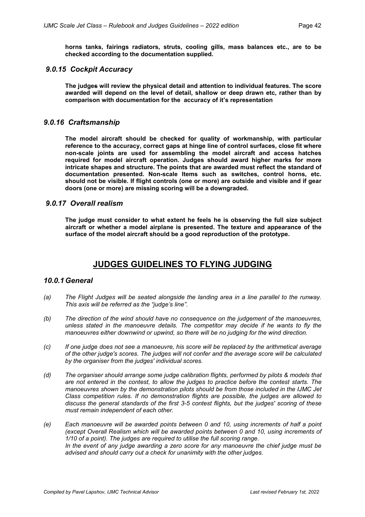**horns tanks, fairings radiators, struts, cooling gills, mass balances etc., are to be checked according to the documentation supplied.**

#### *9.0.15 Cockpit Accuracy*

**The judges will review the physical detail and attention to individual features. The score awarded will depend on the level of detail, shallow or deep drawn etc, rather than by comparison with documentation for the accuracy of it's representation**

#### *9.0.16 Craftsmanship*

**The model aircraft should be checked for quality of workmanship, with particular reference to the accuracy, correct gaps at hinge line of control surfaces, close fit where non-scale joints are used for assembling the model aircraft and access hatches required for model aircraft operation. Judges should award higher marks for more intricate shapes and structure. The points that are awarded must reflect the standard of documentation presented. Non-scale Items such as switches, control horns, etc. should not be visible. If flight controls (one or more) are outside and visible and if gear doors (one or more) are missing scoring will be a downgraded.**

#### *9.0.17 Overall realism*

**The judge must consider to what extent he feels he is observing the full size subject aircraft or whether a model airplane is presented. The texture and appearance of the surface of the model aircraft should be a good reproduction of the prototype.**

# **JUDGES GUIDELINES TO FLYING JUDGING**

#### *10.0.1 General*

- *(a) The Flight Judges will be seated alongside the landing area in a line parallel to the runway. This axis will be referred as the "judge's line".*
- *(b) The direction of the wind should have no consequence on the judgement of the manoeuvres, unless stated in the manoeuvre details. The competitor may decide if he wants to fly the manoeuvres either downwind or upwind, so there will be no judging for the wind direction.*
- *(c) If one judge does not see a manoeuvre, his score will be replaced by the arithmetical average of the other judge's scores. The judges will not confer and the average score will be calculated by the organiser from the judges' individual scores.*
- *(d) The organiser should arrange some judge calibration flights, performed by pilots & models that are not entered in the contest, to allow the judges to practice before the contest starts. The manoeuvres shown by the demonstration pilots should be from those included in the IJMC Jet Class competition rules. If no demonstration flights are possible, the judges are allowed to discuss the general standards of the first 3-5 contest flights, but the judges' scoring of these must remain independent of each other.*
- *(e) Each manoeuvre will be awarded points between 0 and 10, using increments of half a point (except Overall Realism which will be awarded points between 0 and 10, using increments of 1/10 of a point). The judges are required to utilise the full scoring range. In the event of any judge awarding a zero score for any manoeuvre the chief judge must be advised and should carry out a check for unanimity with the other judges.*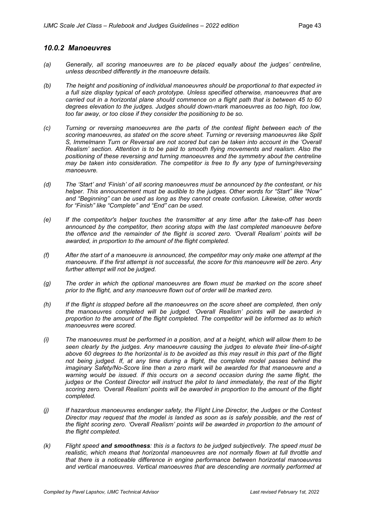#### *10.0.2 Manoeuvres*

- *(a) Generally, all scoring manoeuvres are to be placed equally about the judges' centreline, unless described differently in the manoeuvre details.*
- *(b) The height and positioning of individual manoeuvres should be proportional to that expected in a full size display typical of each prototype. Unless specified otherwise, manoeuvres that are carried out in a horizontal plane should commence on a flight path that is between 45 to 60 degrees elevation to the judges. Judges should down-mark manoeuvres as too high, too low, too far away, or too close if they consider the positioning to be so.*
- *(c) Turning or reversing manoeuvres are the parts of the contest flight between each of the scoring manoeuvres, as stated on the score sheet. Turning or reversing manoeuvres like Split S, Immelmann Turn or Reversal are not scored but can be taken into account in the 'Overall Realism' section. Attention is to be paid to smooth flying movements and realism. Also the positioning of these reversing and turning manoeuvres and the symmetry about the centreline may be taken into consideration. The competitor is free to fly any type of turning/reversing manoeuvre.*
- *(d) The 'Start' and 'Finish' of all scoring manoeuvres must be announced by the contestant, or his helper. This announcement must be audible to the judges. Other words for "Start" like "Now" and "Beginning" can be used as long as they cannot create confusion. Likewise, other words for "Finish" like "Complete" and "End" can be used.*
- *(e) If the competitor's helper touches the transmitter at any time after the take-off has been announced by the competitor, then scoring stops with the last completed manoeuvre before the offence and the remainder of the flight is scored zero. 'Overall Realism' points will be awarded, in proportion to the amount of the flight completed.*
- *(f) After the start of a manoeuvre is announced, the competitor may only make one attempt at the manoeuvre. If the first attempt is not successful, the score for this manoeuvre will be zero. Any further attempt will not be judged.*
- *(g) The order in which the optional manoeuvres are flown must be marked on the score sheet prior to the flight, and any manoeuvre flown out of order will be marked zero.*
- *(h) If the flight is stopped before all the manoeuvres on the score sheet are completed, then only the manoeuvres completed will be judged. 'Overall Realism' points will be awarded in proportion to the amount of the flight completed. The competitor will be informed as to which manoeuvres were scored.*
- (i) The manoeuvres must be performed in a position, and at a height, which will allow them to be *seen clearly by the judges. Any manoeuvre causing the judges to elevate their line-of-sight* above 60 degrees to the horizontal is to be avoided as this may result in this part of the flight *not being judged. If, at any time during a flight, the complete model passes behind the imaginary Safety/No-Score line then a zero mark will be awarded for that manoeuvre and a warning would be issued. If this occurs on a second occasion during the same flight, the judges or the Contest Director will instruct the pilot to land immediately, the rest of the flight scoring zero. 'Overall Realism' points will be awarded in proportion to the amount of the flight completed.*
- *(j) If hazardous manoeuvres endanger safety, the Flight Line Director, the Judges or the Contest Director may request that the model is landed as soon as is safely possible, and the rest of the flight scoring zero. 'Overall Realism' points will be awarded in proportion to the amount of the flight completed.*
- *(k) Flight speed and smoothness: this is a factors to be judged subjectively. The speed must be realistic, which means that horizontal manoeuvres are not normally flown at full throttle and that there is a noticeable difference in engine performance between horizontal manoeuvres and vertical manoeuvres. Vertical manoeuvres that are descending are normally performed at*